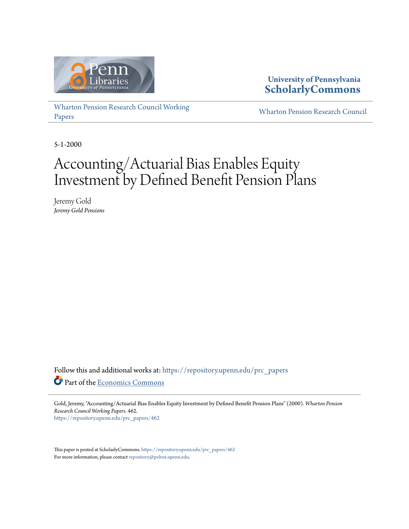

### **University of Pennsylvania [ScholarlyCommons](https://repository.upenn.edu/?utm_source=repository.upenn.edu%2Fprc_papers%2F462&utm_medium=PDF&utm_campaign=PDFCoverPages)**

[Wharton Pension Research Council Working](https://repository.upenn.edu/prc_papers?utm_source=repository.upenn.edu%2Fprc_papers%2F462&utm_medium=PDF&utm_campaign=PDFCoverPages) [Papers](https://repository.upenn.edu/prc_papers?utm_source=repository.upenn.edu%2Fprc_papers%2F462&utm_medium=PDF&utm_campaign=PDFCoverPages)

[Wharton Pension Research Council](https://repository.upenn.edu/prc?utm_source=repository.upenn.edu%2Fprc_papers%2F462&utm_medium=PDF&utm_campaign=PDFCoverPages)

5-1-2000

# Accounting/Actuarial Bias Enables Equity Investment by Defined Benefit Pension Plans

Jeremy Gold *Jeremy Gold Pensions*

Follow this and additional works at: [https://repository.upenn.edu/prc\\_papers](https://repository.upenn.edu/prc_papers?utm_source=repository.upenn.edu%2Fprc_papers%2F462&utm_medium=PDF&utm_campaign=PDFCoverPages) Part of the [Economics Commons](http://network.bepress.com/hgg/discipline/340?utm_source=repository.upenn.edu%2Fprc_papers%2F462&utm_medium=PDF&utm_campaign=PDFCoverPages)

Gold, Jeremy, "Accounting/Actuarial Bias Enables Equity Investment by Defined Benefit Pension Plans" (2000). *Wharton Pension Research Council Working Papers*. 462. [https://repository.upenn.edu/prc\\_papers/462](https://repository.upenn.edu/prc_papers/462?utm_source=repository.upenn.edu%2Fprc_papers%2F462&utm_medium=PDF&utm_campaign=PDFCoverPages)

This paper is posted at ScholarlyCommons. [https://repository.upenn.edu/prc\\_papers/462](https://repository.upenn.edu/prc_papers/462) For more information, please contact [repository@pobox.upenn.edu.](mailto:repository@pobox.upenn.edu)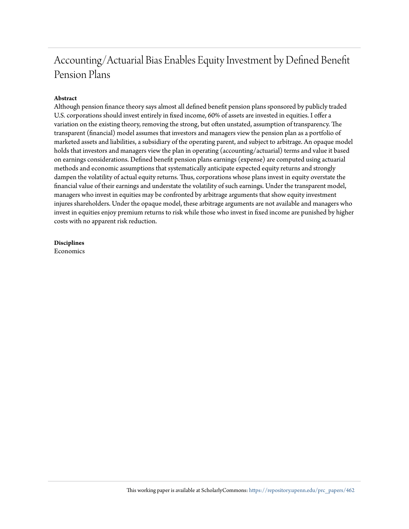## Accounting/Actuarial Bias Enables Equity Investment by Defined Benefit Pension Plans

#### **Abstract**

Although pension finance theory says almost all defined benefit pension plans sponsored by publicly traded U.S. corporations should invest entirely in fixed income, 60% of assets are invested in equities. I offer a variation on the existing theory, removing the strong, but often unstated, assumption of transparency. The transparent (financial) model assumes that investors and managers view the pension plan as a portfolio of marketed assets and liabilities, a subsidiary of the operating parent, and subject to arbitrage. An opaque model holds that investors and managers view the plan in operating (accounting/actuarial) terms and value it based on earnings considerations. Defined benefit pension plans earnings (expense) are computed using actuarial methods and economic assumptions that systematically anticipate expected equity returns and strongly dampen the volatility of actual equity returns. Thus, corporations whose plans invest in equity overstate the financial value of their earnings and understate the volatility of such earnings. Under the transparent model, managers who invest in equities may be confronted by arbitrage arguments that show equity investment injures shareholders. Under the opaque model, these arbitrage arguments are not available and managers who invest in equities enjoy premium returns to risk while those who invest in fixed income are punished by higher costs with no apparent risk reduction.

**Disciplines** Economics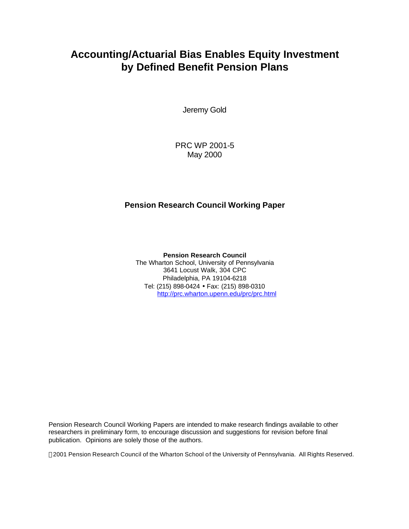## **Accounting/Actuarial Bias Enables Equity Investment by Defined Benefit Pension Plans**

Jeremy Gold

PRC WP 2001-5 May 2000

### **Pension Research Council Working Paper**

**Pension Research Council** The Wharton School, University of Pennsylvania 3641 Locust Walk, 304 CPC Philadelphia, PA 19104-6218 Tel: (215) 898-0424 • Fax: (215) 898-0310 http://prc.wharton.upenn.edu/prc/prc.html

Pension Research Council Working Papers are intended to make research findings available to other researchers in preliminary form, to encourage discussion and suggestions for revision before final publication. Opinions are solely those of the authors.

2001 Pension Research Council of the Wharton School of the University of Pennsylvania. All Rights Reserved.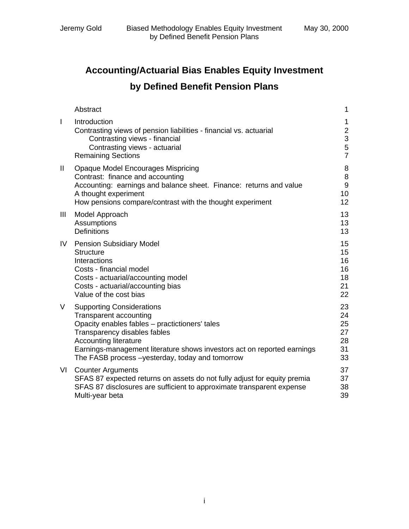## **Accounting/Actuarial Bias Enables Equity Investment by Defined Benefit Pension Plans**

|              | Abstract                                                                                                                                                                                                                                                                                                   | $\mathbf 1$                                          |
|--------------|------------------------------------------------------------------------------------------------------------------------------------------------------------------------------------------------------------------------------------------------------------------------------------------------------------|------------------------------------------------------|
| $\mathbf{I}$ | Introduction<br>Contrasting views of pension liabilities - financial vs. actuarial<br>Contrasting views - financial<br>Contrasting views - actuarial<br><b>Remaining Sections</b>                                                                                                                          | 1<br>$\mathbf{2}$<br>$\frac{1}{3}$<br>$\overline{7}$ |
| Ш            | <b>Opaque Model Encourages Mispricing</b><br>Contrast: finance and accounting<br>Accounting: earnings and balance sheet. Finance: returns and value<br>A thought experiment<br>How pensions compare/contrast with the thought experiment                                                                   | 8<br>8<br>9<br>10<br>12 <sub>2</sub>                 |
| Ш            | Model Approach<br>Assumptions<br><b>Definitions</b>                                                                                                                                                                                                                                                        | 13<br>13<br>13                                       |
| IV.          | <b>Pension Subsidiary Model</b><br><b>Structure</b><br>Interactions<br>Costs - financial model<br>Costs - actuarial/accounting model<br>Costs - actuarial/accounting bias<br>Value of the cost bias                                                                                                        | 15<br>15<br>16<br>16<br>18<br>21<br>22               |
| V            | <b>Supporting Considerations</b><br>Transparent accounting<br>Opacity enables fables - practictioners' tales<br>Transparency disables fables<br><b>Accounting literature</b><br>Earnings-management literature shows investors act on reported earnings<br>The FASB process -yesterday, today and tomorrow | 23<br>24<br>25<br>27<br>28<br>31<br>33               |
| VI           | <b>Counter Arguments</b><br>SFAS 87 expected returns on assets do not fully adjust for equity premia<br>SFAS 87 disclosures are sufficient to approximate transparent expense<br>Multi-year beta                                                                                                           | 37<br>37<br>38<br>39                                 |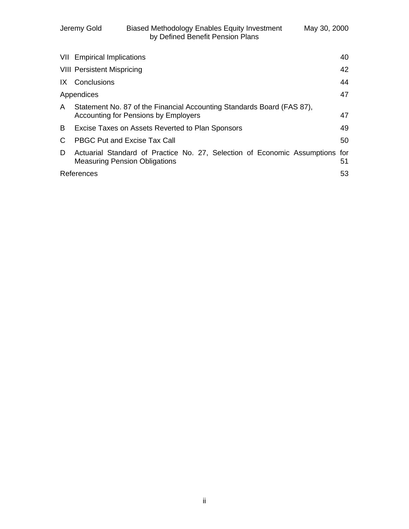|                                                                                        | <b>VII</b> Empirical Implications                                                                                | 40        |
|----------------------------------------------------------------------------------------|------------------------------------------------------------------------------------------------------------------|-----------|
|                                                                                        | <b>VIII Persistent Mispricing</b>                                                                                | 42        |
|                                                                                        | IX Conclusions                                                                                                   | 44        |
|                                                                                        | Appendices                                                                                                       | 47        |
| Statement No. 87 of the Financial Accounting Standards Board (FAS 87),<br>$\mathsf{A}$ |                                                                                                                  |           |
|                                                                                        | <b>Accounting for Pensions by Employers</b>                                                                      | 47        |
| B                                                                                      | Excise Taxes on Assets Reverted to Plan Sponsors                                                                 | 49        |
|                                                                                        | <b>PBGC Put and Excise Tax Call</b>                                                                              | 50        |
| D                                                                                      | Actuarial Standard of Practice No. 27, Selection of Economic Assumptions<br><b>Measuring Pension Obligations</b> | for<br>51 |
|                                                                                        | References                                                                                                       |           |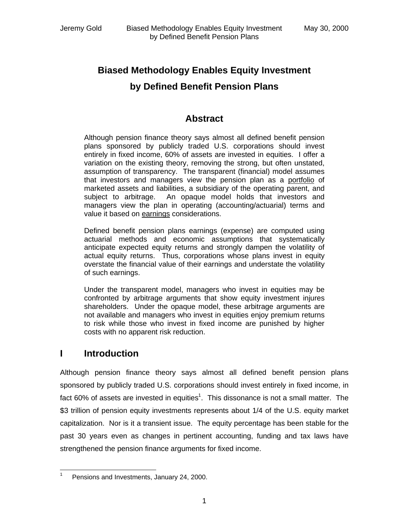## **Biased Methodology Enables Equity Investment by Defined Benefit Pension Plans**

### **Abstract**

Although pension finance theory says almost all defined benefit pension plans sponsored by publicly traded U.S. corporations should invest entirely in fixed income, 60% of assets are invested in equities. I offer a variation on the existing theory, removing the strong, but often unstated, assumption of transparency. The transparent (financial) model assumes that investors and managers view the pension plan as a portfolio of marketed assets and liabilities, a subsidiary of the operating parent, and subject to arbitrage. An opaque model holds that investors and managers view the plan in operating (accounting/actuarial) terms and value it based on earnings considerations.

Defined benefit pension plans earnings (expense) are computed using actuarial methods and economic assumptions that systematically anticipate expected equity returns and strongly dampen the volatility of actual equity returns. Thus, corporations whose plans invest in equity overstate the financial value of their earnings and understate the volatility of such earnings.

Under the transparent model, managers who invest in equities may be confronted by arbitrage arguments that show equity investment injures shareholders. Under the opaque model, these arbitrage arguments are not available and managers who invest in equities enjoy premium returns to risk while those who invest in fixed income are punished by higher costs with no apparent risk reduction.

### **I Introduction**

Although pension finance theory says almost all defined benefit pension plans sponsored by publicly traded U.S. corporations should invest entirely in fixed income, in fact 60% of assets are invested in equities<sup>1</sup>. This dissonance is not a small matter. The \$3 trillion of pension equity investments represents about 1/4 of the U.S. equity market capitalization. Nor is it a transient issue. The equity percentage has been stable for the past 30 years even as changes in pertinent accounting, funding and tax laws have strengthened the pension finance arguments for fixed income.

 $\frac{1}{1}$ Pensions and Investments, January 24, 2000.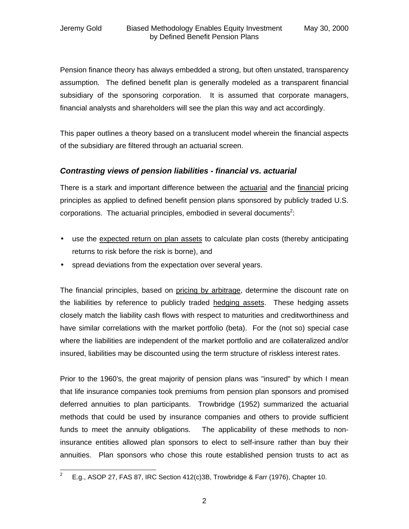Pension finance theory has always embedded a strong, but often unstated, transparency assumption. The defined benefit plan is generally modeled as a transparent financial subsidiary of the sponsoring corporation. It is assumed that corporate managers, financial analysts and shareholders will see the plan this way and act accordingly.

This paper outlines a theory based on a translucent model wherein the financial aspects of the subsidiary are filtered through an actuarial screen.

### *Contrasting views of pension liabilities - financial vs. actuarial*

There is a stark and important difference between the actuarial and the financial pricing principles as applied to defined benefit pension plans sponsored by publicly traded U.S. corporations. The actuarial principles, embodied in several documents<sup>2</sup>:

- use the expected return on plan assets to calculate plan costs (thereby anticipating returns to risk before the risk is borne), and
- spread deviations from the expectation over several years.

The financial principles, based on pricing by arbitrage, determine the discount rate on the liabilities by reference to publicly traded hedging assets. These hedging assets closely match the liability cash flows with respect to maturities and creditworthiness and have similar correlations with the market portfolio (beta). For the (not so) special case where the liabilities are independent of the market portfolio and are collateralized and/or insured, liabilities may be discounted using the term structure of riskless interest rates.

Prior to the 1960's, the great majority of pension plans was "insured" by which I mean that life insurance companies took premiums from pension plan sponsors and promised deferred annuities to plan participants. Trowbridge (1952) summarized the actuarial methods that could be used by insurance companies and others to provide sufficient funds to meet the annuity obligations. The applicability of these methods to noninsurance entities allowed plan sponsors to elect to self-insure rather than buy their annuities. Plan sponsors who chose this route established pension trusts to act as

<sup>&</sup>lt;sup>2</sup> E.g., ASOP 27, FAS 87, IRC Section 412(c)3B, Trowbridge & Farr (1976), Chapter 10.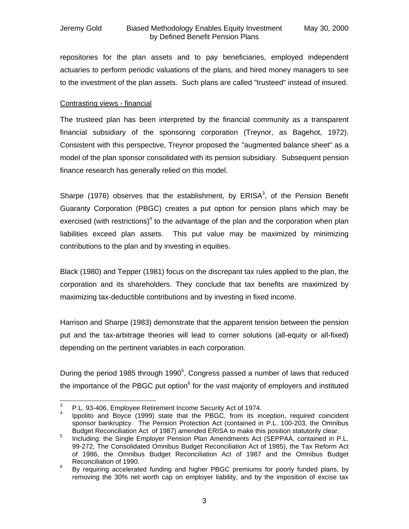repositories for the plan assets and to pay beneficiaries, employed independent actuaries to perform periodic valuations of the plans, and hired money managers to see to the investment of the plan assets. Such plans are called "trusteed" instead of insured.

#### Contrasting views - financial

The trusteed plan has been interpreted by the financial community as a transparent financial subsidiary of the sponsoring corporation (Treynor, as Bagehot, 1972). Consistent with this perspective, Treynor proposed the "augmented balance sheet" as a model of the plan sponsor consolidated with its pension subsidiary. Subsequent pension finance research has generally relied on this model.

Sharpe (1976) observes that the establishment, by  $ERISA<sup>3</sup>$ , of the Pension Benefit Guaranty Corporation (PBGC) creates a put option for pension plans which may be exercised (with restrictions)<sup>4</sup> to the advantage of the plan and the corporation when plan liabilities exceed plan assets. This put value may be maximized by minimizing contributions to the plan and by investing in equities.

Black (1980) and Tepper (1981) focus on the discrepant tax rules applied to the plan, the corporation and its shareholders. They conclude that tax benefits are maximized by maximizing tax-deductible contributions and by investing in fixed income.

Harrison and Sharpe (1983) demonstrate that the apparent tension between the pension put and the tax-arbitrage theories will lead to corner solutions (all-equity or all-fixed) depending on the pertinent variables in each corporation.

During the period 1985 through 1990 $5$ , Congress passed a number of laws that reduced the importance of the PBGC put option<sup>6</sup> for the vast majority of employers and instituted

 $\overline{a}$ 3 P.L. 93-406, Employee Retirement Income Security Act of 1974.

<sup>4</sup> Ippolito and Boyce (1999) state that the PBGC, from its inception, required coincident sponsor bankruptcy. The Pension Protection Act (contained in P.L. 100-203, the Omnibus Budget Reconciliation Act of 1987) amended ERISA to make this position statutorily clear.

<sup>5</sup> Including: the Single Employer Pension Plan Amendments Act (SEPPAA, contained in P.L. 99-272, The Consolidated Omnibus Budget Reconciliation Act of 1985), the Tax Reform Act of 1986, the Omnibus Budget Reconciliation Act of 1987 and the Omnibus Budget Reconciliation of 1990.

<sup>6</sup> By requiring accelerated funding and higher PBGC premiums for poorly funded plans, by removing the 30% net worth cap on employer liability, and by the imposition of excise tax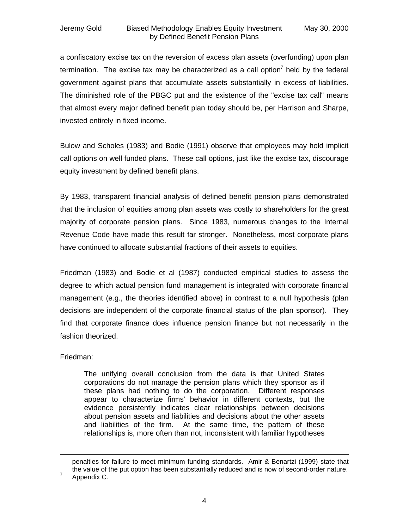#### Jeremy Gold Biased Methodology Enables Equity Investment May 30, 2000 by Defined Benefit Pension Plans

a confiscatory excise tax on the reversion of excess plan assets (overfunding) upon plan termination. The excise tax may be characterized as a call option<sup>7</sup> held by the federal government against plans that accumulate assets substantially in excess of liabilities. The diminished role of the PBGC put and the existence of the "excise tax call" means that almost every major defined benefit plan today should be, per Harrison and Sharpe, invested entirely in fixed income.

Bulow and Scholes (1983) and Bodie (1991) observe that employees may hold implicit call options on well funded plans. These call options, just like the excise tax, discourage equity investment by defined benefit plans.

By 1983, transparent financial analysis of defined benefit pension plans demonstrated that the inclusion of equities among plan assets was costly to shareholders for the great majority of corporate pension plans. Since 1983, numerous changes to the Internal Revenue Code have made this result far stronger. Nonetheless, most corporate plans have continued to allocate substantial fractions of their assets to equities.

Friedman (1983) and Bodie et al (1987) conducted empirical studies to assess the degree to which actual pension fund management is integrated with corporate financial management (e.g., the theories identified above) in contrast to a null hypothesis (plan decisions are independent of the corporate financial status of the plan sponsor). They find that corporate finance does influence pension finance but not necessarily in the fashion theorized.

Friedman:

The unifying overall conclusion from the data is that United States corporations do not manage the pension plans which they sponsor as if these plans had nothing to do the corporation. Different responses appear to characterize firms' behavior in different contexts, but the evidence persistently indicates clear relationships between decisions about pension assets and liabilities and decisions about the other assets and liabilities of the firm. At the same time, the pattern of these relationships is, more often than not, inconsistent with familiar hypotheses

 $\overline{a}$ 

penalties for failure to meet minimum funding standards. Amir & Benartzi (1999) state that the value of the put option has been substantially reduced and is now of second-order nature. 7

Appendix C.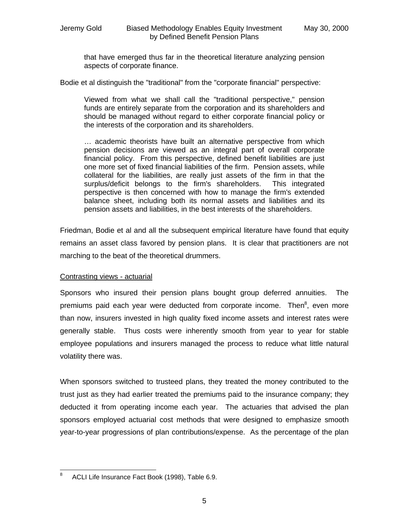that have emerged thus far in the theoretical literature analyzing pension aspects of corporate finance.

Bodie et al distinguish the "traditional" from the "corporate financial" perspective:

Viewed from what we shall call the "traditional perspective," pension funds are entirely separate from the corporation and its shareholders and should be managed without regard to either corporate financial policy or the interests of the corporation and its shareholders.

… academic theorists have built an alternative perspective from which pension decisions are viewed as an integral part of overall corporate financial policy. From this perspective, defined benefit liabilities are just one more set of fixed financial liabilities of the firm. Pension assets, while collateral for the liabilities, are really just assets of the firm in that the surplus/deficit belongs to the firm's shareholders. This integrated perspective is then concerned with how to manage the firm's extended balance sheet, including both its normal assets and liabilities and its pension assets and liabilities, in the best interests of the shareholders.

Friedman, Bodie et al and all the subsequent empirical literature have found that equity remains an asset class favored by pension plans. It is clear that practitioners are not marching to the beat of the theoretical drummers.

#### Contrasting views - actuarial

Sponsors who insured their pension plans bought group deferred annuities. The premiums paid each year were deducted from corporate income. Then<sup>8</sup>, even more than now, insurers invested in high quality fixed income assets and interest rates were generally stable. Thus costs were inherently smooth from year to year for stable employee populations and insurers managed the process to reduce what little natural volatility there was.

When sponsors switched to trusteed plans, they treated the money contributed to the trust just as they had earlier treated the premiums paid to the insurance company; they deducted it from operating income each year. The actuaries that advised the plan sponsors employed actuarial cost methods that were designed to emphasize smooth year-to-year progressions of plan contributions/expense. As the percentage of the plan

<sup>-&</sup>lt;br>8 ACLI Life Insurance Fact Book (1998), Table 6.9.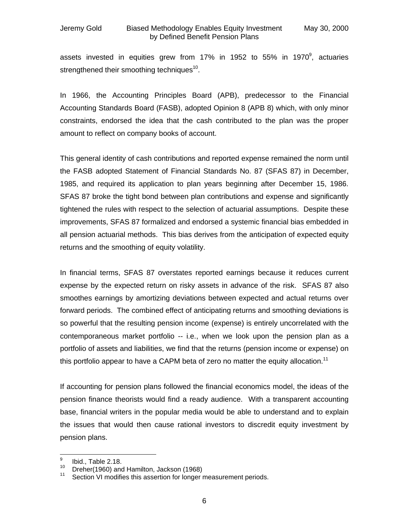assets invested in equities grew from 17% in 1952 to 55% in 1970 $^9$ , actuaries strengthened their smoothing techniques<sup>10</sup>.

In 1966, the Accounting Principles Board (APB), predecessor to the Financial Accounting Standards Board (FASB), adopted Opinion 8 (APB 8) which, with only minor constraints, endorsed the idea that the cash contributed to the plan was the proper amount to reflect on company books of account.

This general identity of cash contributions and reported expense remained the norm until the FASB adopted Statement of Financial Standards No. 87 (SFAS 87) in December, 1985, and required its application to plan years beginning after December 15, 1986. SFAS 87 broke the tight bond between plan contributions and expense and significantly tightened the rules with respect to the selection of actuarial assumptions. Despite these improvements, SFAS 87 formalized and endorsed a systemic financial bias embedded in all pension actuarial methods. This bias derives from the anticipation of expected equity returns and the smoothing of equity volatility.

In financial terms, SFAS 87 overstates reported earnings because it reduces current expense by the expected return on risky assets in advance of the risk. SFAS 87 also smoothes earnings by amortizing deviations between expected and actual returns over forward periods. The combined effect of anticipating returns and smoothing deviations is so powerful that the resulting pension income (expense) is entirely uncorrelated with the contemporaneous market portfolio -- i.e., when we look upon the pension plan as a portfolio of assets and liabilities, we find that the returns (pension income or expense) on this portfolio appear to have a CAPM beta of zero no matter the equity allocation.<sup>11</sup>

If accounting for pension plans followed the financial economics model, the ideas of the pension finance theorists would find a ready audience. With a transparent accounting base, financial writers in the popular media would be able to understand and to explain the issues that would then cause rational investors to discredit equity investment by pension plans.

<sup>-&</sup>lt;br>9 Ibid., Table 2.18.

<sup>&</sup>lt;sup>10</sup> Dreher(1960) and Hamilton, Jackson (1968)<sup>11</sup> Section VI modifies this assertion for langer.

Section VI modifies this assertion for longer measurement periods.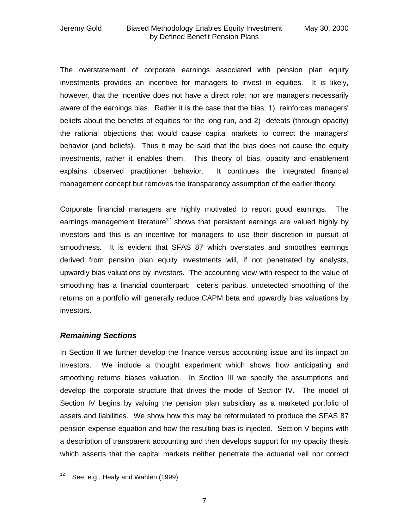The overstatement of corporate earnings associated with pension plan equity investments provides an incentive for managers to invest in equities. It is likely, however, that the incentive does not have a direct role; nor are managers necessarily aware of the earnings bias. Rather it is the case that the bias: 1) reinforces managers' beliefs about the benefits of equities for the long run, and 2) defeats (through opacity) the rational objections that would cause capital markets to correct the managers' behavior (and beliefs). Thus it may be said that the bias does not cause the equity investments, rather it enables them. This theory of bias, opacity and enablement explains observed practitioner behavior. It continues the integrated financial management concept but removes the transparency assumption of the earlier theory.

Corporate financial managers are highly motivated to report good earnings. The earnings management literature<sup>12</sup> shows that persistent earnings are valued highly by investors and this is an incentive for managers to use their discretion in pursuit of smoothness. It is evident that SFAS 87 which overstates and smoothes earnings derived from pension plan equity investments will, if not penetrated by analysts, upwardly bias valuations by investors. The accounting view with respect to the value of smoothing has a financial counterpart: ceteris paribus, undetected smoothing of the returns on a portfolio will generally reduce CAPM beta and upwardly bias valuations by investors.

### *Remaining Sections*

In Section II we further develop the finance versus accounting issue and its impact on investors. We include a thought experiment which shows how anticipating and smoothing returns biases valuation. In Section III we specify the assumptions and develop the corporate structure that drives the model of Section IV. The model of Section IV begins by valuing the pension plan subsidiary as a marketed portfolio of assets and liabilities. We show how this may be reformulated to produce the SFAS 87 pension expense equation and how the resulting bias is injected. Section V begins with a description of transparent accounting and then develops support for my opacity thesis which asserts that the capital markets neither penetrate the actuarial veil nor correct

 $\overline{a}$  $12$  See, e.g., Healy and Wahlen (1999)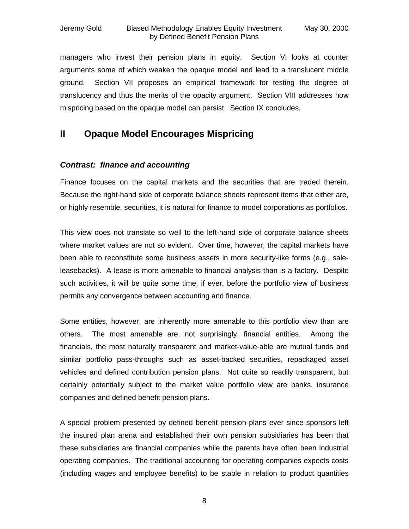managers who invest their pension plans in equity. Section VI looks at counter arguments some of which weaken the opaque model and lead to a translucent middle ground. Section VII proposes an empirical framework for testing the degree of translucency and thus the merits of the opacity argument. Section VIII addresses how mispricing based on the opaque model can persist. Section IX concludes.

### **II Opaque Model Encourages Mispricing**

### *Contrast: finance and accounting*

Finance focuses on the capital markets and the securities that are traded therein. Because the right-hand side of corporate balance sheets represent items that either are, or highly resemble, securities, it is natural for finance to model corporations as portfolios.

This view does not translate so well to the left-hand side of corporate balance sheets where market values are not so evident. Over time, however, the capital markets have been able to reconstitute some business assets in more security-like forms (e.g., saleleasebacks). A lease is more amenable to financial analysis than is a factory. Despite such activities, it will be quite some time, if ever, before the portfolio view of business permits any convergence between accounting and finance.

Some entities, however, are inherently more amenable to this portfolio view than are others. The most amenable are, not surprisingly, financial entities. Among the financials, the most naturally transparent and market-value-able are mutual funds and similar portfolio pass-throughs such as asset-backed securities, repackaged asset vehicles and defined contribution pension plans. Not quite so readily transparent, but certainly potentially subject to the market value portfolio view are banks, insurance companies and defined benefit pension plans.

A special problem presented by defined benefit pension plans ever since sponsors left the insured plan arena and established their own pension subsidiaries has been that these subsidiaries are financial companies while the parents have often been industrial operating companies. The traditional accounting for operating companies expects costs (including wages and employee benefits) to be stable in relation to product quantities

8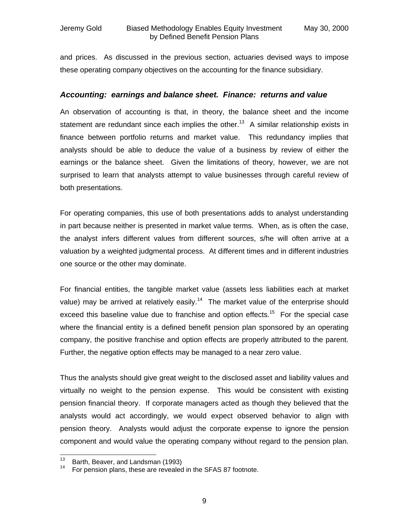and prices. As discussed in the previous section, actuaries devised ways to impose these operating company objectives on the accounting for the finance subsidiary.

#### *Accounting: earnings and balance sheet. Finance: returns and value*

An observation of accounting is that, in theory, the balance sheet and the income statement are redundant since each implies the other.<sup>13</sup> A similar relationship exists in finance between portfolio returns and market value. This redundancy implies that analysts should be able to deduce the value of a business by review of either the earnings or the balance sheet. Given the limitations of theory, however, we are not surprised to learn that analysts attempt to value businesses through careful review of both presentations.

For operating companies, this use of both presentations adds to analyst understanding in part because neither is presented in market value terms. When, as is often the case, the analyst infers different values from different sources, s/he will often arrive at a valuation by a weighted judgmental process. At different times and in different industries one source or the other may dominate.

For financial entities, the tangible market value (assets less liabilities each at market value) may be arrived at relatively easily.<sup>14</sup> The market value of the enterprise should exceed this baseline value due to franchise and option effects.<sup>15</sup> For the special case where the financial entity is a defined benefit pension plan sponsored by an operating company, the positive franchise and option effects are properly attributed to the parent. Further, the negative option effects may be managed to a near zero value.

Thus the analysts should give great weight to the disclosed asset and liability values and virtually no weight to the pension expense. This would be consistent with existing pension financial theory. If corporate managers acted as though they believed that the analysts would act accordingly, we would expect observed behavior to align with pension theory. Analysts would adjust the corporate expense to ignore the pension component and would value the operating company without regard to the pension plan.

 $13$  $13$  Barth, Beaver, and Landsman (1993)<br> $14$  Ear panaion plane, these are revealed

For pension plans, these are revealed in the SFAS 87 footnote.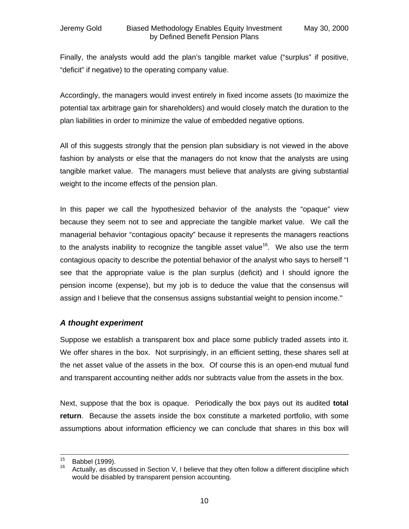Finally, the analysts would add the plan's tangible market value ("surplus" if positive, "deficit" if negative) to the operating company value.

Accordingly, the managers would invest entirely in fixed income assets (to maximize the potential tax arbitrage gain for shareholders) and would closely match the duration to the plan liabilities in order to minimize the value of embedded negative options.

All of this suggests strongly that the pension plan subsidiary is not viewed in the above fashion by analysts or else that the managers do not know that the analysts are using tangible market value. The managers must believe that analysts are giving substantial weight to the income effects of the pension plan.

In this paper we call the hypothesized behavior of the analysts the "opaque" view because they seem not to see and appreciate the tangible market value. We call the managerial behavior "contagious opacity" because it represents the managers reactions to the analysts inability to recognize the tangible asset value<sup>16</sup>. We also use the term contagious opacity to describe the potential behavior of the analyst who says to herself "I see that the appropriate value is the plan surplus (deficit) and I should ignore the pension income (expense), but my job is to deduce the value that the consensus will assign and I believe that the consensus assigns substantial weight to pension income."

### *A thought experiment*

Suppose we establish a transparent box and place some publicly traded assets into it. We offer shares in the box. Not surprisingly, in an efficient setting, these shares sell at the net asset value of the assets in the box. Of course this is an open-end mutual fund and transparent accounting neither adds nor subtracts value from the assets in the box.

Next, suppose that the box is opaque. Periodically the box pays out its audited **total return**. Because the assets inside the box constitute a marketed portfolio, with some assumptions about information efficiency we can conclude that shares in this box will

 $15<sup>15</sup>$  $^{15}$  Babbel (1999).

Actually, as discussed in Section V, I believe that they often follow a different discipline which would be disabled by transparent pension accounting.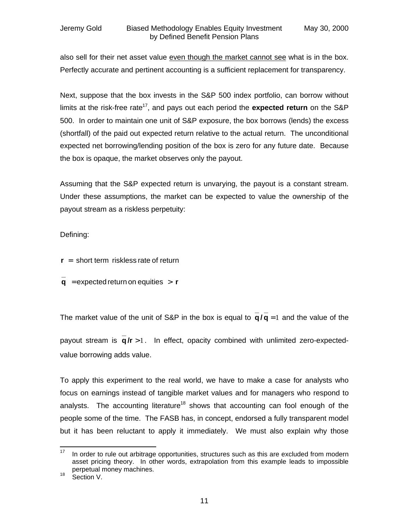also sell for their net asset value even though the market cannot see what is in the box. Perfectly accurate and pertinent accounting is a sufficient replacement for transparency.

Next, suppose that the box invests in the S&P 500 index portfolio, can borrow without limits at the risk-free rate<sup>17</sup>, and pays out each period the **expected return** on the S&P 500. In order to maintain one unit of S&P exposure, the box borrows (lends) the excess (shortfall) of the paid out expected return relative to the actual return. The unconditional expected net borrowing/lending position of the box is zero for any future date. Because the box is opaque, the market observes only the payout.

Assuming that the S&P expected return is unvarying, the payout is a constant stream. Under these assumptions, the market can be expected to value the ownership of the payout stream as a riskless perpetuity:

Defining:

**r** = short term riskless rate of return

 $\mathbf{q}$  = expected return on equities  $\mathbf{r}$ **\_**

The market value of the unit of S&P in the box is equal to  $q/q = 1$ **\_ / q \_**  $q/q = 1$  and the value of the

payout stream is  $q/r > 1$ . In effect, opacity combined with unlimited zero-expected-**\_** value borrowing adds value.

To apply this experiment to the real world, we have to make a case for analysts who focus on earnings instead of tangible market values and for managers who respond to analysts. The accounting literature<sup>18</sup> shows that accounting can fool enough of the people some of the time. The FASB has, in concept, endorsed a fully transparent model but it has been reluctant to apply it immediately. We must also explain why those

<sup>18</sup> Section V.

 $17<sup>17</sup>$ In order to rule out arbitrage opportunities, structures such as this are excluded from modern asset pricing theory. In other words, extrapolation from this example leads to impossible perpetual money machines.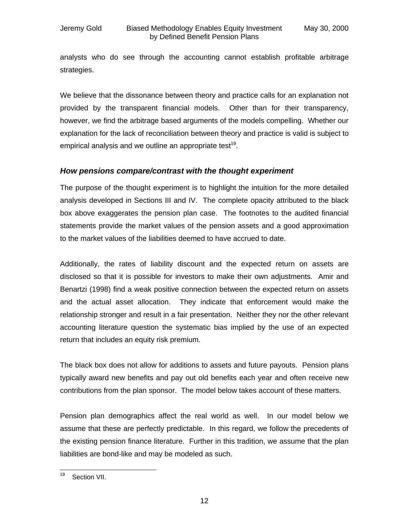analysts who do see through the accounting cannot establish profitable arbitrage strategies.

We believe that the dissonance between theory and practice calls for an explanation not provided by the transparent financial models. Other than for their transparency, however, we find the arbitrage based arguments of the models compelling. Whether our explanation for the lack of reconciliation between theory and practice is valid is subject to empirical analysis and we outline an appropriate test<sup>19</sup>.

### *How pensions compare/contrast with the thought experiment*

The purpose of the thought experiment is to highlight the intuition for the more detailed analysis developed in Sections III and IV. The complete opacity attributed to the black box above exaggerates the pension plan case. The footnotes to the audited financial statements provide the market values of the pension assets and a good approximation to the market values of the liabilities deemed to have accrued to date.

Additionally, the rates of liability discount and the expected return on assets are disclosed so that it is possible for investors to make their own adjustments. Amir and Benartzi (1998) find a weak positive connection between the expected return on assets and the actual asset allocation. They indicate that enforcement would make the relationship stronger and result in a fair presentation. Neither they nor the other relevant accounting literature question the systematic bias implied by the use of an expected return that includes an equity risk premium.

The black box does not allow for additions to assets and future payouts. Pension plans typically award new benefits and pay out old benefits each year and often receive new contributions from the plan sponsor. The model below takes account of these matters.

Pension plan demographics affect the real world as well. In our model below we assume that these are perfectly predictable. In this regard, we follow the precedents of the existing pension finance literature. Further in this tradition, we assume that the plan liabilities are bond-like and may be modeled as such.

<sup>19</sup> Section VII.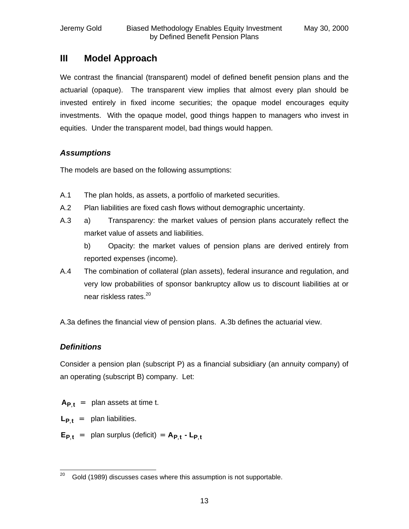### **III Model Approach**

We contrast the financial (transparent) model of defined benefit pension plans and the actuarial (opaque). The transparent view implies that almost every plan should be invested entirely in fixed income securities; the opaque model encourages equity investments. With the opaque model, good things happen to managers who invest in equities. Under the transparent model, bad things would happen.

### *Assumptions*

The models are based on the following assumptions:

- A.1 The plan holds, as assets, a portfolio of marketed securities.
- A.2 Plan liabilities are fixed cash flows without demographic uncertainty.
- A.3 a) Transparency: the market values of pension plans accurately reflect the market value of assets and liabilities.

b) Opacity: the market values of pension plans are derived entirely from reported expenses (income).

A.4 The combination of collateral (plan assets), federal insurance and regulation, and very low probabilities of sponsor bankruptcy allow us to discount liabilities at or near riskless rates.<sup>20</sup>

A.3a defines the financial view of pension plans. A.3b defines the actuarial view.

### *Definitions*

Consider a pension plan (subscript P) as a financial subsidiary (an annuity company) of an operating (subscript B) company. Let:

- $A_{P}$  **t** = plan assets at time t.
- $L_{P}$ **t** = plan liabilities.
- $E_{P,t}$  = plan surplus (deficit) =  $A_{P,t}$   $L_{P,t}$

 $20<sub>2</sub>$ Gold (1989) discusses cases where this assumption is not supportable.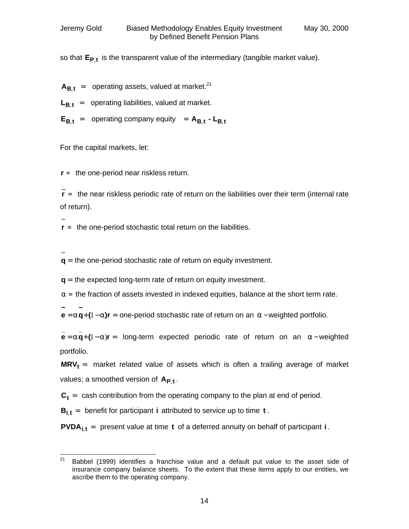so that **EP**,**<sup>t</sup>** is the transparent value of the intermediary (tangible market value).

- $A_{\text{B}t}$  = operating assets, valued at market.<sup>21</sup>
- $L_{\bf{B} t}$  = operating liabilities, valued at market.
- $E_{B,t}$  = operating company equity =  $A_{B,t}$   $L_{B,t}$

For the capital markets, let:

**r** = the one-period near riskless return.

\_ **r** = the near riskless periodic rate of return on the liabilities over their term (internal rate of return).

~ **r** = the one-period stochastic total return on the liabilities.

= ~ **q** = the one-period stochastic rate of return on equity investment.

**q** = the expected long-term rate of return on equity investment. **\_**

**a** = the fraction of assets invested in indexed equities, balance at the short term rate.

 $=$  **a**  $q$  +  $(1 - a)r =$ **~ q ~ e** = **a** q+(1 − **a**)r = one-period stochastic rate of return on an **a** – weighted portfolio.

**e** = **a q**+  $(1 - a)r =$ **\_ \_ aq**+(1-a)r = long-term expected periodic rate of return on an **a** − weighted portfolio.

 $MRV<sub>t</sub>$  = market related value of assets which is often a trailing average of market values; a smoothed version of **AP**,**<sup>t</sup>** .

 $C_t$  = cash contribution from the operating company to the plan at end of period.

 $B_{i,t}$  = benefit for participant **i** attributed to service up to time **t**.

**PVDAi**,**<sup>t</sup>** = present value at time **t** of a deferred annuity on behalf of participant **i** .

 $21$ Babbel (1999) identifies a franchise value and a default put value to the asset side of insurance company balance sheets. To the extent that these items apply to our entities, we ascribe them to the operating company.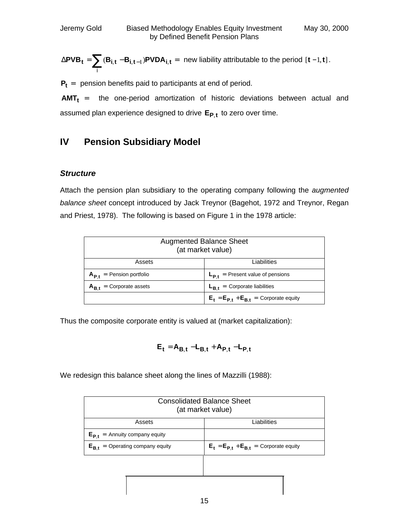$$
\Delta \text{PVB}_{\textbf{t}} = \sum_i (\textbf{B}_{i,\textbf{t}} - \textbf{B}_{i,\textbf{t}-1}) \text{PVDA}_{i,\textbf{t}} = \text{ new liability attribute} \text{to the period } [\textbf{t}-1,\textbf{t}].
$$

**P<sup>t</sup>** = pension benefits paid to participants at end of period.

**AMT<sup>t</sup>** = the one-period amortization of historic deviations between actual and assumed plan experience designed to drive **EP**,**<sup>t</sup>** to zero over time.

### **IV Pension Subsidiary Model**

### *Structure*

Attach the pension plan subsidiary to the operating company following the *augmented balance sheet* concept introduced by Jack Treynor (Bagehot, 1972 and Treynor, Regan and Priest, 1978). The following is based on Figure 1 in the 1978 article:

| <b>Augmented Balance Sheet</b><br>(at market value) |                                                  |  |
|-----------------------------------------------------|--------------------------------------------------|--|
| Assets                                              | Liabilities                                      |  |
| $A_{P}$ = Pension portfolio                         | $L_{P,t}$ = Present value of pensions            |  |
| $A_{B}$ = Corporate assets                          | $L_{Bf}$ = Corporate liabilities                 |  |
|                                                     | $E_t$ = $E_{P,t}$ + $E_{B,t}$ = Corporate equity |  |

Thus the composite corporate entity is valued at (market capitalization):

$$
\boldsymbol{E}_t = \boldsymbol{A}_{\boldsymbol{B},t} - \boldsymbol{L}_{\boldsymbol{B},t} + \boldsymbol{A}_{\boldsymbol{P},t} - \boldsymbol{L}_{\boldsymbol{P},t}
$$

We redesign this balance sheet along the lines of Mazzilli (1988):

| <b>Consolidated Balance Sheet</b><br>(at market value) |                                                  |  |
|--------------------------------------------------------|--------------------------------------------------|--|
| Assets                                                 | Liabilities                                      |  |
| $E_{P,t}$ = Annuity company equity                     |                                                  |  |
| = Operating company equity<br>$E_{\rm B,t}$            | $E_t$ = $E_{P,t}$ + $E_{B,t}$ = Corporate equity |  |
|                                                        |                                                  |  |
|                                                        |                                                  |  |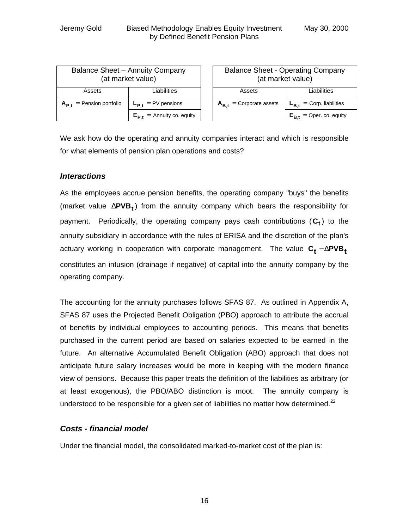| Balance Sheet - Annuity Company<br>(at market value) |                                |  |
|------------------------------------------------------|--------------------------------|--|
| Assets                                               | Liabilities                    |  |
| $A_{P}$ = Pension portfolio                          | $L_{P,t}$ = PV pensions        |  |
|                                                      | $E_{P,t}$ = Annuity co. equity |  |

| <b>Balance Sheet - Operating Company</b><br>(at market value) |                               |
|---------------------------------------------------------------|-------------------------------|
| Assets                                                        | Liabilities                   |
| $A_{B,t}$ = Corporate assets                                  | $L_{B,t}$ = Corp. liabilities |
|                                                               | $E_{B,t}$ = Oper. co. equity  |

We ask how do the operating and annuity companies interact and which is responsible for what elements of pension plan operations and costs?

### *Interactions*

As the employees accrue pension benefits, the operating company "buys" the benefits (market value Δ**PVB<sup>t</sup>** ) from the annuity company which bears the responsibility for payment. Periodically, the operating company pays cash contributions (**C<sup>t</sup>** ) to the annuity subsidiary in accordance with the rules of ERISA and the discretion of the plan's  $\mathsf{accuracy}$  working in cooperation with corporate management. The value  $\mathsf{C}_\mathsf{t}$  –  $\Delta \mathsf{PVB}_\mathsf{t}$ constitutes an infusion (drainage if negative) of capital into the annuity company by the operating company.

The accounting for the annuity purchases follows SFAS 87. As outlined in Appendix A, SFAS 87 uses the Projected Benefit Obligation (PBO) approach to attribute the accrual of benefits by individual employees to accounting periods. This means that benefits purchased in the current period are based on salaries expected to be earned in the future. An alternative Accumulated Benefit Obligation (ABO) approach that does not anticipate future salary increases would be more in keeping with the modern finance view of pensions. Because this paper treats the definition of the liabilities as arbitrary (or at least exogenous), the PBO/ABO distinction is moot. The annuity company is understood to be responsible for a given set of liabilities no matter how determined. $22$ 

### *Costs - financial model*

Under the financial model, the consolidated marked-to-market cost of the plan is: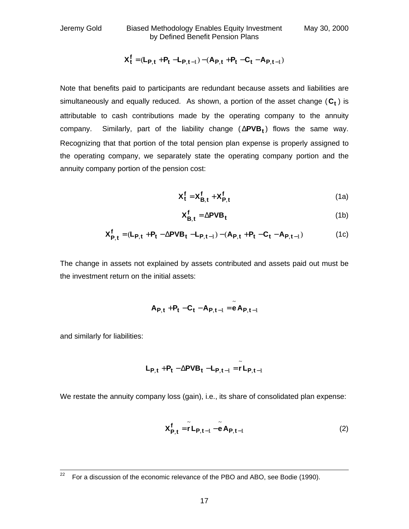Jeremy Gold Biased Methodology Enables Equity Investment May 30, 2000 by Defined Benefit Pension Plans

$$
\boldsymbol{X}_t^f = (\boldsymbol{L}_{\boldsymbol{P},t} + \boldsymbol{P}_t - \boldsymbol{L}_{\boldsymbol{P},t-1}) - (\boldsymbol{A}_{\boldsymbol{P},t} + \boldsymbol{P}_t - \boldsymbol{C}_t - \boldsymbol{A}_{\boldsymbol{P},t-1})
$$

Note that benefits paid to participants are redundant because assets and liabilities are simultaneously and equally reduced. As shown, a portion of the asset change (**C<sup>t</sup>** ) is attributable to cash contributions made by the operating company to the annuity company. Similarly, part of the liability change ( Δ**PVB<sup>t</sup>** ) flows the same way. Recognizing that that portion of the total pension plan expense is properly assigned to the operating company, we separately state the operating company portion and the annuity company portion of the pension cost:

$$
X_t^f = X_{B,t}^f + X_{P,t}^f
$$
 (1a)

$$
X_{B,t}^f = \Delta PVB_t \tag{1b}
$$

$$
\boldsymbol{X}_{\boldsymbol{P},t}^{f} = (\boldsymbol{L}_{\boldsymbol{P},t} + \boldsymbol{P}_t - \Delta \boldsymbol{P} \boldsymbol{V} \boldsymbol{B}_t - \boldsymbol{L}_{\boldsymbol{P},t-1}) - (\boldsymbol{A}_{\boldsymbol{P},t} + \boldsymbol{P}_t - \boldsymbol{C}_t - \boldsymbol{A}_{\boldsymbol{P},t-1})
$$
(1c)

The change in assets not explained by assets contributed and assets paid out must be the investment return on the initial assets:

$$
\boldsymbol{A}_{\boldsymbol{P},t} + \boldsymbol{P}_t - \boldsymbol{C}_t - \boldsymbol{A}_{\boldsymbol{P},t-1} = \widetilde{\boldsymbol{e}} \, \boldsymbol{A}_{\boldsymbol{P},t-1}
$$

and similarly for liabilities:

$$
\boldsymbol{L}_{\boldsymbol{P},t} + \boldsymbol{P}_t - \Delta \boldsymbol{P} \boldsymbol{V} \boldsymbol{B}_t - \boldsymbol{L}_{\boldsymbol{P},t-1} = \tilde{\boldsymbol{r}} \, \boldsymbol{L}_{\boldsymbol{P},t-1}
$$

We restate the annuity company loss (gain), i.e., its share of consolidated plan expense:

$$
\mathbf{X}_{\mathbf{P},\mathbf{t}}^{\mathbf{f}} = \tilde{\mathbf{r}} \mathbf{L}_{\mathbf{P},\mathbf{t}-1} - \tilde{\mathbf{e}} \mathbf{A}_{\mathbf{P},\mathbf{t}-1}
$$
 (2)

<sup>22</sup> For a discussion of the economic relevance of the PBO and ABO, see Bodie (1990).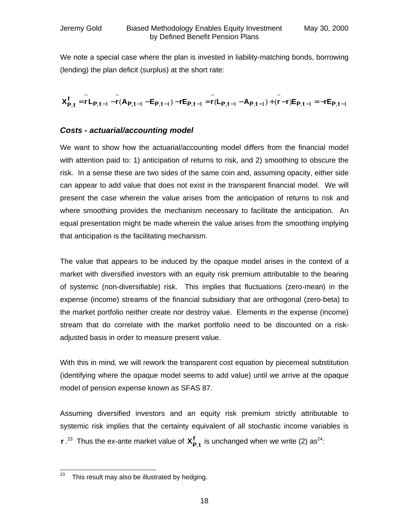We note a special case where the plan is invested in liability-matching bonds, borrowing (lending) the plan deficit (surplus) at the short rate:

 $\mathbf{H} \mathbf{t}$  , t –1  $\mathbf{F} = -\mathbf{I} \mathbf{E} \mathbf{P}, \mathbf{t}$  –1 ~  $, t-1 - \mathsf{AP}, t-1$ ~ , t –  $1 - E P$ , t –  $1 - I E P$ , t – 1 ~  $, t-1$ ~  ${\bf f}_{{\bf P},{\bf t}} = {\bf r} \, {\bf L}_{{\bf P},{\bf t}-1} - {\bf r} \, ({\bf A}_{{\bf P},{\bf t}-1} - {\bf E}_{{\bf P},{\bf t}-1}) - {\bf r} {\bf E}_{{\bf P},{\bf t}-1} = {\bf r} \, ({\bf L}_{{\bf P},{\bf t}-1} - {\bf A}_{{\bf P},{\bf t}-1}) + ({\bf r}-{\bf r}) {\bf E}_{{\bf P},{\bf t}-1} = - {\bf r} {\bf E}_{{\bf P},{\bf t}-1}$  $\bm{X_{P,t}^{t}} = r\bm{\bot}_{P,t-1} - r(\bm{A_{P,t-1}} - \bm{\mathsf{E}_{P,t-1}}) - r\bm{\mathsf{E}_{P,t-1}} = r(\bm{\mathsf{L}_{P,t-1}} - \bm{A_{P,t-1}}) + (r-r)\bm{\mathsf{E}_{P,t-1}} = -r\bm{\mathsf{E}_{P,t-1}}$ 

#### *Costs - actuarial/accounting model*

We want to show how the actuarial/accounting model differs from the financial model with attention paid to: 1) anticipation of returns to risk, and 2) smoothing to obscure the risk. In a sense these are two sides of the same coin and, assuming opacity, either side can appear to add value that does not exist in the transparent financial model. We will present the case wherein the value arises from the anticipation of returns to risk and where smoothing provides the mechanism necessary to facilitate the anticipation. An equal presentation might be made wherein the value arises from the smoothing implying that anticipation is the facilitating mechanism.

The value that appears to be induced by the opaque model arises in the context of a market with diversified investors with an equity risk premium attributable to the bearing of systemic (non-diversifiable) risk. This implies that fluctuations (zero-mean) in the expense (income) streams of the financial subsidiary that are orthogonal (zero-beta) to the market portfolio neither create nor destroy value. Elements in the expense (income) stream that do correlate with the market portfolio need to be discounted on a riskadjusted basis in order to measure present value.

With this in mind, we will rework the transparent cost equation by piecemeal substitution (identifying where the opaque model seems to add value) until we arrive at the opaque model of pension expense known as SFAS 87.

Assuming diversified investors and an equity risk premium strictly attributable to systemic risk implies that the certainty equivalent of all stochastic income variables is **r** .<sup>23</sup> Thus the ex-ante market value of  $X_{P,t}^f$  is unchanged when we write (2) as<sup>24</sup>:

j  $23$  This result may also be illustrated by hedging.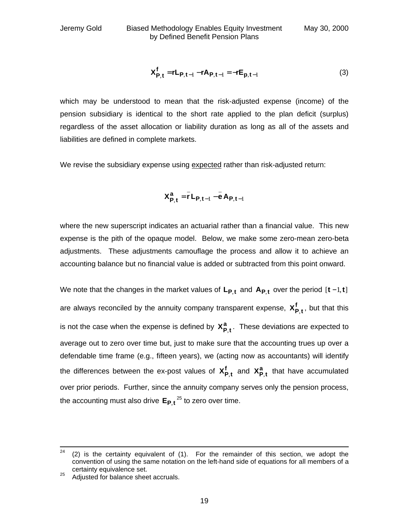$$
\mathbf{X}_{\mathbf{P},\mathbf{t}}^{\mathbf{f}} = \mathbf{r}\mathbf{L}_{\mathbf{P},\mathbf{t}-1} - \mathbf{r}\mathbf{A}_{\mathbf{P},\mathbf{t}-1} = -\mathbf{r}\mathbf{E}_{\mathbf{p},\mathbf{t}-1}
$$
(3)

which may be understood to mean that the risk-adjusted expense (income) of the pension subsidiary is identical to the short rate applied to the plan deficit (surplus) regardless of the asset allocation or liability duration as long as all of the assets and liabilities are defined in complete markets.

We revise the subsidiary expense using expected rather than risk-adjusted return:

$$
X_{P,t}^a = \bar{r} L_{P,t-1} - \bar{e} A_{P,t-1}
$$

where the new superscript indicates an actuarial rather than a financial value. This new expense is the pith of the opaque model. Below, we make some zero-mean zero-beta adjustments. These adjustments camouflage the process and allow it to achieve an accounting balance but no financial value is added or subtracted from this point onward.

We note that the changes in the market values of **LP**,**<sup>t</sup>** and **AP**,**<sup>t</sup>** over the period [**t** −1,**t**] are always reconciled by the annuity company transparent expense,  $\mathbf{X_{P,t}^{f}}$ , but that this is not the case when the expense is defined by  $X_{P,t}^a$ . These deviations are expected to average out to zero over time but, just to make sure that the accounting trues up over a defendable time frame (e.g., fifteen years), we (acting now as accountants) will identify the differences between the ex-post values of  $X_{P,t}^f$  and  $X_{P,t}^a$  that have accumulated over prior periods. Further, since the annuity company serves only the pension process, the accounting must also drive **EP**,**<sup>t</sup>** <sup>25</sup> to zero over time.

 $24$  $(2)$  is the certainty equivalent of  $(1)$ . For the remainder of this section, we adopt the convention of using the same notation on the left-hand side of equations for all members of a certainty equivalence set.

 $25$  Adjusted for balance sheet accruals.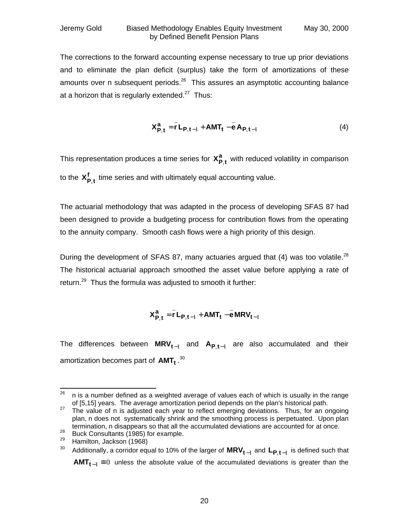The corrections to the forward accounting expense necessary to true up prior deviations and to eliminate the plan deficit (surplus) take the form of amortizations of these amounts over n subsequent periods. $^{26}$  This assures an asymptotic accounting balance at a horizon that is regularly extended.<sup>27</sup> Thus:

$$
X_{P,t}^a = \overline{r} L_{P,t-1} + AMT_t - \overline{e} A_{P,t-1}
$$
 (4)

This representation produces a time series for  $X_{P,t}^a$  with reduced volatility in comparison to the  $X_{P,t}^f$  time series and with ultimately equal accounting value.

The actuarial methodology that was adapted in the process of developing SFAS 87 had been designed to provide a budgeting process for contribution flows from the operating to the annuity company. Smooth cash flows were a high priority of this design.

During the development of SFAS 87, many actuaries argued that (4) was too volatile.<sup>28</sup> The historical actuarial approach smoothed the asset value before applying a rate of return.<sup>29</sup> Thus the formula was adjusted to smooth it further:

$$
X_{P,t}^a = \overline{r} L_{P,t-1} + AMT_t - \overline{e} MRV_{t-1}
$$

The differences between **MRVt**−<sup>1</sup> and **AP**,**t**−<sup>1</sup> are also accumulated and their amortization becomes part of **AMT<sup>t</sup>** . 30

<sup>26</sup> <sup>26</sup> n is a number defined as a weighted average of values each of which is usually in the range of [5,15] years. The average amortization period depends on the plan's historical path.

<sup>&</sup>lt;sup>27</sup> The value of n is adjusted each year to reflect emerging deviations. Thus, for an ongoing plan, n does not systematically shrink and the smoothing process is perpetuated. Upon plan termination, n disappears so that all the accumulated deviations are accounted for at once.

<sup>28</sup> Burnmanon, managements of that an in-<br>28 Buck Consultants (1985) for example.

 $^{29}$  Hamilton, Jackson (1968)<br> $^{30}$  Additionally a cerrider equ

<sup>&</sup>lt;sup>30</sup> Additionally, a corridor equal to 10% of the larger of  $\textsf{MRV}_{\textbf{t}-1}$  and  $\textsf{L}_{\textsf{P},\textbf{t}-1}$  is defined such that **AMT**<sub>**t**−1</sub>  $\equiv$  0 unless the absolute value of the accumulated deviations is greater than the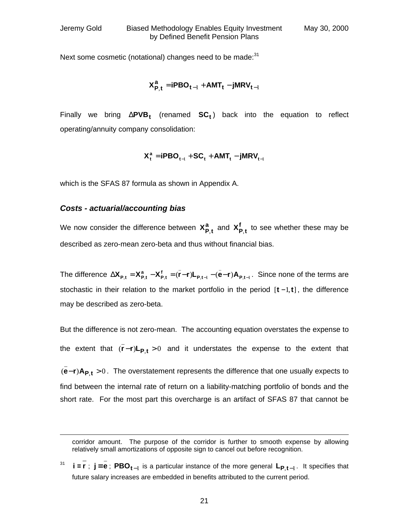-

 $\overline{a}$ 

\_

Next some cosmetic (notational) changes need to be made: $31$ 

$$
\boldsymbol{X_{P,t}^a} = \boldsymbol{iPBO_{t-1}} + \boldsymbol{AMT_t} - \boldsymbol{jMRV_{t-1}}
$$

Finally we bring Δ**PVB<sup>t</sup>** (renamed **SC<sup>t</sup>** ) back into the equation to reflect operating/annuity company consolidation:

$$
\boldsymbol{X^a_t} = \boldsymbol{i\text{PBO}_{t-\!1}} + \boldsymbol{SC_t} + \boldsymbol{AMT_t} - \boldsymbol{j\text{MRV}_{t-\!1}}
$$

which is the SFAS 87 formula as shown in Appendix A.

#### *Costs - actuarial/accounting bias*

We now consider the difference between  $X_{P,t}^a$  and  $X_{P,t}^f$  to see whether these may be described as zero-mean zero-beta and thus without financial bias.

The difference  $\Delta \mathbf{X_{p,t}} = \mathbf{X_{p,t}^a} - \mathbf{X_{p,t}^t} = (\mathbf{r-r})\mathbf{L_{p,t-1}} - (\mathbf{e-r})\mathbf{A_{p,t-1}}$ \_  $, t-1$ \_  $\Delta X_{P,t} = X_{P,t}^a - X_{P,t}^f = (\bar{r}-r)L_{P,t-1} - (\bar{e}-r)A_{P,t-1}$ . Since none of the terms are stochastic in their relation to the market portfolio in the period [**t** −1,**t**], the difference may be described as zero-beta.

But the difference is not zero-mean. The accounting equation overstates the expense to the extent that  $(r - r)\mathsf{L}_{\mathsf{P},\mathsf{t}} > 0$ \_ **r**−**r**)L<sub>P,t</sub> > 0 and it understates the expense to the extent that

(e−r)A<sub>P,t</sub> > 0. The overstatement represents the difference that one usually expects to \_ find between the internal rate of return on a liability-matching portfolio of bonds and the short rate. For the most part this overcharge is an artifact of SFAS 87 that cannot be

corridor amount. The purpose of the corridor is further to smooth expense by allowing relatively small amortizations of opposite sign to cancel out before recognition.

<sup>31</sup> **i** ≡ **r** ; **j** ≡ **e** ; **PBOt**−<sup>1</sup> is a particular instance of the more general **LP**,**t**−<sup>1</sup> . It specifies that future salary increases are embedded in benefits attributed to the current period.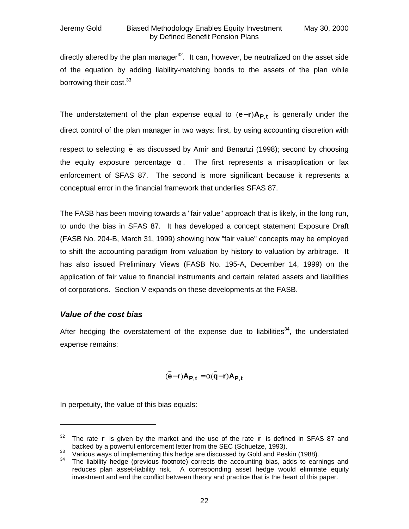directly altered by the plan manager<sup>32</sup>. It can, however, be neutralized on the asset side of the equation by adding liability-matching bonds to the assets of the plan while borrowing their cost.<sup>33</sup>

The understatement of the plan expense equal to  $(e-r)A_{P,t}$ \_  $(e-r)A_{P,t}$  is generally under the direct control of the plan manager in two ways: first, by using accounting discretion with respect to selecting \_ **e** as discussed by Amir and Benartzi (1998); second by choosing the equity exposure percentage **a** . The first represents a misapplication or lax enforcement of SFAS 87. The second is more significant because it represents a conceptual error in the financial framework that underlies SFAS 87.

The FASB has been moving towards a "fair value" approach that is likely, in the long run, to undo the bias in SFAS 87. It has developed a concept statement Exposure Draft (FASB No. 204-B, March 31, 1999) showing how "fair value" concepts may be employed to shift the accounting paradigm from valuation by history to valuation by arbitrage. It has also issued Preliminary Views (FASB No. 195-A, December 14, 1999) on the application of fair value to financial instruments and certain related assets and liabilities of corporations. Section V expands on these developments at the FASB.

### *Value of the cost bias*

-

After hedging the overstatement of the expense due to liabilities<sup>34</sup>, the understated expense remains:

$$
(\bar{\bar{e}}-r)A_{P,t} = \bar{\mathbf{a}}(\bar{\bar{\mathbf{q}}}-r)A_{P,t}
$$

In perpetuity, the value of this bias equals:

<sup>&</sup>lt;sup>32</sup> The rate **r** is given by the market and the use of the rate **r r** is defined in SFAS 87 and backed by a powerful enforcement letter from the SEC (Schuetze, 1993).

Various by a performancementing this hedge are discussed by Gold and Peskin (1988).<br><sup>34</sup> The lightlify bedge (provious footpote) corrects the accounting his adds to earn

The liability hedge (previous footnote) corrects the accounting bias, adds to earnings and reduces plan asset-liability risk. A corresponding asset hedge would eliminate equity investment and end the conflict between theory and practice that is the heart of this paper.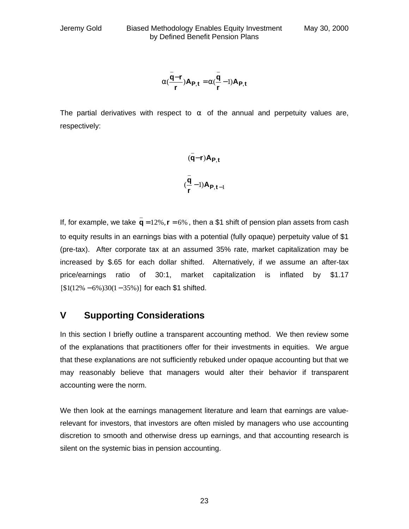$$
\mathbf{a}(\frac{\bar{\mathbf{q}}-\mathbf{r}}{r})\mathbf{A}_{\mathbf{P},\mathbf{t}} = \mathbf{a}(\frac{\bar{\mathbf{q}}}{r}-1)\mathbf{A}_{\mathbf{P},\mathbf{t}}
$$

The partial derivatives with respect to **a** of the annual and perpetuity values are, respectively:

$$
(\bar{q}-r)A_{P,t}
$$

$$
(\bar{q}-1)A_{P,t-1}
$$

If, for example, we take  $q = 12\%$ ,  $r = 6\%$ \_  $q = 12\%$ ,  $r = 6\%$ , then a \$1 shift of pension plan assets from cash to equity results in an earnings bias with a potential (fully opaque) perpetuity value of \$1 (pre-tax). After corporate tax at an assumed 35% rate, market capitalization may be increased by \$.65 for each dollar shifted. Alternatively, if we assume an after-tax price/earnings ratio of 30:1, market capitalization is inflated by \$1.17 [\$1(12% − 6%)30(1− 35%)] for each \$1 shifted.

### **V Supporting Considerations**

In this section I briefly outline a transparent accounting method. We then review some of the explanations that practitioners offer for their investments in equities. We argue that these explanations are not sufficiently rebuked under opaque accounting but that we may reasonably believe that managers would alter their behavior if transparent accounting were the norm.

We then look at the earnings management literature and learn that earnings are valuerelevant for investors, that investors are often misled by managers who use accounting discretion to smooth and otherwise dress up earnings, and that accounting research is silent on the systemic bias in pension accounting.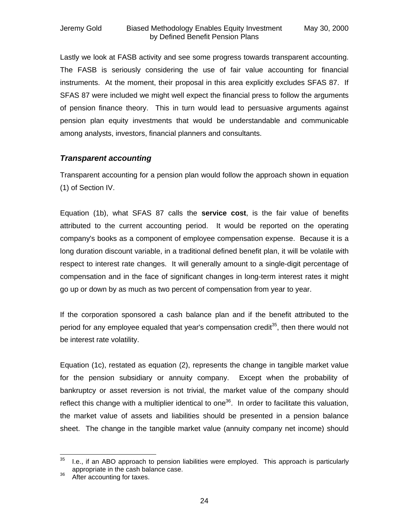Lastly we look at FASB activity and see some progress towards transparent accounting. The FASB is seriously considering the use of fair value accounting for financial instruments. At the moment, their proposal in this area explicitly excludes SFAS 87. If SFAS 87 were included we might well expect the financial press to follow the arguments of pension finance theory. This in turn would lead to persuasive arguments against pension plan equity investments that would be understandable and communicable among analysts, investors, financial planners and consultants.

### *Transparent accounting*

Transparent accounting for a pension plan would follow the approach shown in equation (1) of Section IV.

Equation (1b), what SFAS 87 calls the **service cost**, is the fair value of benefits attributed to the current accounting period. It would be reported on the operating company's books as a component of employee compensation expense. Because it is a long duration discount variable, in a traditional defined benefit plan, it will be volatile with respect to interest rate changes. It will generally amount to a single-digit percentage of compensation and in the face of significant changes in long-term interest rates it might go up or down by as much as two percent of compensation from year to year.

If the corporation sponsored a cash balance plan and if the benefit attributed to the period for any employee equaled that year's compensation credit<sup>35</sup>, then there would not be interest rate volatility.

Equation (1c), restated as equation (2), represents the change in tangible market value for the pension subsidiary or annuity company. Except when the probability of bankruptcy or asset reversion is not trivial, the market value of the company should reflect this change with a multiplier identical to one<sup>36</sup>. In order to facilitate this valuation, the market value of assets and liabilities should be presented in a pension balance sheet. The change in the tangible market value (annuity company net income) should

<sup>35</sup> I.e., if an ABO approach to pension liabilities were employed. This approach is particularly appropriate in the cash balance case.

<sup>&</sup>lt;sup>36</sup> After accounting for taxes.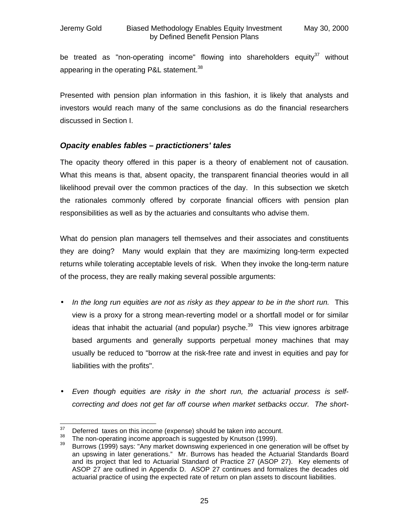be treated as "non-operating income" flowing into shareholders equity<sup>37</sup> without appearing in the operating P&L statement.<sup>38</sup>

Presented with pension plan information in this fashion, it is likely that analysts and investors would reach many of the same conclusions as do the financial researchers discussed in Section I.

### *Opacity enables fables – practictioners' tales*

The opacity theory offered in this paper is a theory of enablement not of causation. What this means is that, absent opacity, the transparent financial theories would in all likelihood prevail over the common practices of the day. In this subsection we sketch the rationales commonly offered by corporate financial officers with pension plan responsibilities as well as by the actuaries and consultants who advise them.

What do pension plan managers tell themselves and their associates and constituents they are doing? Many would explain that they are maximizing long-term expected returns while tolerating acceptable levels of risk. When they invoke the long-term nature of the process, they are really making several possible arguments:

- *In the long run equities are not as risky as they appear to be in the short run.* This view is a proxy for a strong mean-reverting model or a shortfall model or for similar ideas that inhabit the actuarial (and popular) psyche. $39$  This view ignores arbitrage based arguments and generally supports perpetual money machines that may usually be reduced to "borrow at the risk-free rate and invest in equities and pay for liabilities with the profits".
- *Even though equities are risky in the short run, the actuarial process is selfcorrecting and does not get far off course when market setbacks occur. The short-*

<sup>37</sup>  $37$  Deferred taxes on this income (expense) should be taken into account.<br> $38$  The non-operating income approach is suggested by Knutson (1999).

<sup>&</sup>lt;sup>38</sup> The non-operating income approach is suggested by Knutson (1999).<br><sup>39</sup> Purrows (1999) sove: "Apy market downswing experienced in ano gen

Burrows (1999) says: "Any market downswing experienced in one generation will be offset by an upswing in later generations." Mr. Burrows has headed the Actuarial Standards Board and its project that led to Actuarial Standard of Practice 27 (ASOP 27). Key elements of ASOP 27 are outlined in Appendix D. ASOP 27 continues and formalizes the decades old actuarial practice of using the expected rate of return on plan assets to discount liabilities.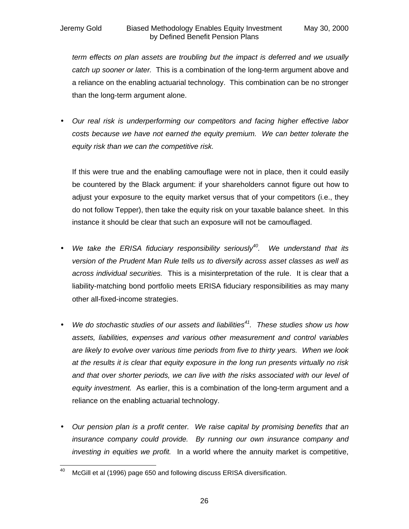*term effects on plan assets are troubling but the impact is deferred and we usually catch up sooner or later.* This is a combination of the long-term argument above and a reliance on the enabling actuarial technology. This combination can be no stronger than the long-term argument alone.

• *Our real risk is underperforming our competitors and facing higher effective labor costs because we have not earned the equity premium. We can better tolerate the equity risk than we can the competitive risk.*

If this were true and the enabling camouflage were not in place, then it could easily be countered by the Black argument: if your shareholders cannot figure out how to adjust your exposure to the equity market versus that of your competitors (i.e., they do not follow Tepper), then take the equity risk on your taxable balance sheet. In this instance it should be clear that such an exposure will not be camouflaged.

- *We take the ERISA fiduciary responsibility seriously<sup>40</sup>. We understand that its version of the Prudent Man Rule tells us to diversify across asset classes as well as across individual securities.* This is a misinterpretation of the rule. It is clear that a liability-matching bond portfolio meets ERISA fiduciary responsibilities as may many other all-fixed-income strategies.
- *We do stochastic studies of our assets and liabilities<sup>41</sup>. These studies show us how assets, liabilities, expenses and various other measurement and control variables are likely to evolve over various time periods from five to thirty years. When we look at the results it is clear that equity exposure in the long run presents virtually no risk and that over shorter periods, we can live with the risks associated with our level of equity investment.* As earlier, this is a combination of the long-term argument and a reliance on the enabling actuarial technology.
- *Our pension plan is a profit center. We raise capital by promising benefits that an insurance company could provide. By running our own insurance company and investing in equities we profit.* In a world where the annuity market is competitive,

<sup>40</sup> McGill et al (1996) page 650 and following discuss ERISA diversification.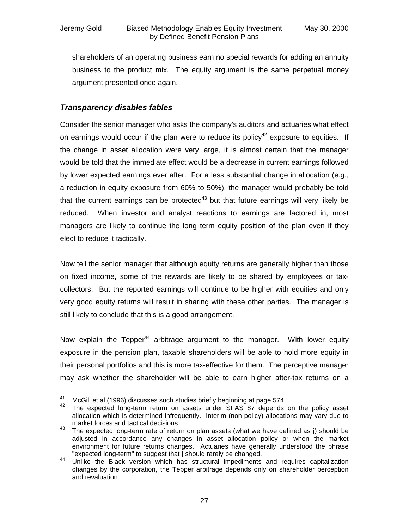shareholders of an operating business earn no special rewards for adding an annuity business to the product mix. The equity argument is the same perpetual money argument presented once again.

### *Transparency disables fables*

Consider the senior manager who asks the company's auditors and actuaries what effect on earnings would occur if the plan were to reduce its policy<sup>42</sup> exposure to equities. If the change in asset allocation were very large, it is almost certain that the manager would be told that the immediate effect would be a decrease in current earnings followed by lower expected earnings ever after. For a less substantial change in allocation (e.g., a reduction in equity exposure from 60% to 50%), the manager would probably be told that the current earnings can be protected<sup>43</sup> but that future earnings will very likely be reduced. When investor and analyst reactions to earnings are factored in, most managers are likely to continue the long term equity position of the plan even if they elect to reduce it tactically.

Now tell the senior manager that although equity returns are generally higher than those on fixed income, some of the rewards are likely to be shared by employees or taxcollectors. But the reported earnings will continue to be higher with equities and only very good equity returns will result in sharing with these other parties. The manager is still likely to conclude that this is a good arrangement.

Now explain the Tepper<sup>44</sup> arbitrage argument to the manager. With lower equity exposure in the pension plan, taxable shareholders will be able to hold more equity in their personal portfolios and this is more tax-effective for them. The perceptive manager may ask whether the shareholder will be able to earn higher after-tax returns on a

<sup>41</sup> <sup>41</sup> McGill et al (1996) discusses such studies briefly beginning at page 574.<br><sup>42</sup> The expected lang term return an assets under SEAS 27 depende

The expected long-term return on assets under SFAS 87 depends on the policy asset allocation which is determined infrequently. Interim (non-policy) allocations may vary due to market forces and tactical decisions.

<sup>43</sup> The expected long-term rate of return on plan assets (what we have defined as **j**) should be adjusted in accordance any changes in asset allocation policy or when the market environment for future returns changes. Actuaries have generally understood the phrase "expected long-term" to suggest that **j** should rarely be changed.

<sup>44</sup> Unlike the Black version which has structural impediments and requires capitalization changes by the corporation, the Tepper arbitrage depends only on shareholder perception and revaluation.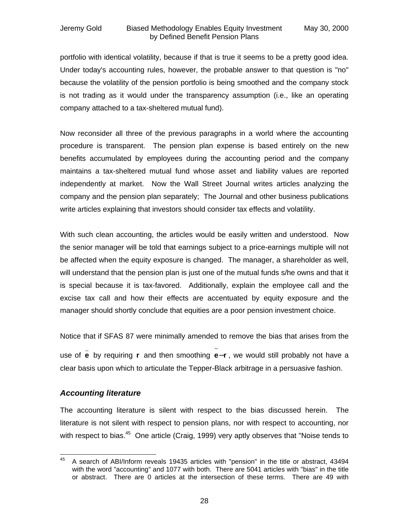#### Jeremy Gold Biased Methodology Enables Equity Investment May 30, 2000 by Defined Benefit Pension Plans

portfolio with identical volatility, because if that is true it seems to be a pretty good idea. Under today's accounting rules, however, the probable answer to that question is "no" because the volatility of the pension portfolio is being smoothed and the company stock is not trading as it would under the transparency assumption (i.e., like an operating company attached to a tax-sheltered mutual fund).

Now reconsider all three of the previous paragraphs in a world where the accounting procedure is transparent. The pension plan expense is based entirely on the new benefits accumulated by employees during the accounting period and the company maintains a tax-sheltered mutual fund whose asset and liability values are reported independently at market. Now the Wall Street Journal writes articles analyzing the company and the pension plan separately; The Journal and other business publications write articles explaining that investors should consider tax effects and volatility.

With such clean accounting, the articles would be easily written and understood. Now the senior manager will be told that earnings subject to a price-earnings multiple will not be affected when the equity exposure is changed. The manager, a shareholder as well, will understand that the pension plan is just one of the mutual funds s/he owns and that it is special because it is tax-favored. Additionally, explain the employee call and the excise tax call and how their effects are accentuated by equity exposure and the manager should shortly conclude that equities are a poor pension investment choice.

Notice that if SFAS 87 were minimally amended to remove the bias that arises from the

use of \_ **e** by requiring **r** and then smoothing **e**−**r** ~ , we would still probably not have a clear basis upon which to articulate the Tepper-Black arbitrage in a persuasive fashion.

### *Accounting literature*

The accounting literature is silent with respect to the bias discussed herein. The literature is not silent with respect to pension plans, nor with respect to accounting, nor with respect to bias.<sup>45</sup> One article (Craig, 1999) very aptly observes that "Noise tends to

<sup>45</sup> <sup>45</sup> A search of ABI/Inform reveals 19435 articles with "pension" in the title or abstract, 43494 with the word "accounting" and 1077 with both. There are 5041 articles with "bias" in the title or abstract. There are 0 articles at the intersection of these terms. There are 49 with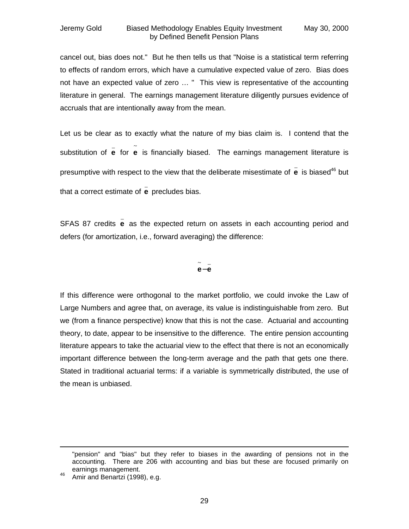cancel out, bias does not." But he then tells us that "Noise is a statistical term referring to effects of random errors, which have a cumulative expected value of zero. Bias does not have an expected value of zero … " This view is representative of the accounting literature in general. The earnings management literature diligently pursues evidence of accruals that are intentionally away from the mean.

Let us be clear as to exactly what the nature of my bias claim is. I contend that the substitution of \_ **e** for ~ **e** is financially biased. The earnings management literature is presumptive with respect to the view that the deliberate misestimate of \_ **e** is biased<sup>46</sup> but that a correct estimate of \_ **e** precludes bias.

SFAS 87 credits **e** as the expected return on assets in each accounting period and \_ defers (for amortization, i.e., forward averaging) the difference:

#### $\sim$   $\sim$ **e**− **e**

If this difference were orthogonal to the market portfolio, we could invoke the Law of Large Numbers and agree that, on average, its value is indistinguishable from zero. But we (from a finance perspective) know that this is not the case. Actuarial and accounting theory, to date, appear to be insensitive to the difference. The entire pension accounting literature appears to take the actuarial view to the effect that there is not an economically important difference between the long-term average and the path that gets one there. Stated in traditional actuarial terms: if a variable is symmetrically distributed, the use of the mean is unbiased.

-

<sup>&</sup>quot;pension" and "bias" but they refer to biases in the awarding of pensions not in the accounting. There are 206 with accounting and bias but these are focused primarily on earnings management.

<sup>46</sup> Amir and Benartzi (1998), e.g.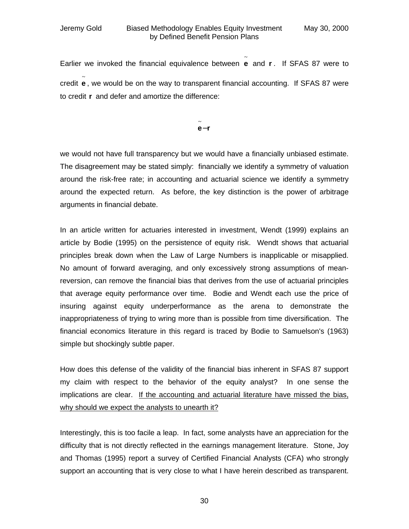Earlier we invoked the financial equivalence between ~ **e** and **r** . If SFAS 87 were to credit ~ **e** , we would be on the way to transparent financial accounting. If SFAS 87 were to credit **r** and defer and amortize the difference:

> **e**−**r** ~

we would not have full transparency but we would have a financially unbiased estimate. The disagreement may be stated simply: financially we identify a symmetry of valuation around the risk-free rate; in accounting and actuarial science we identify a symmetry around the expected return. As before, the key distinction is the power of arbitrage arguments in financial debate.

In an article written for actuaries interested in investment, Wendt (1999) explains an article by Bodie (1995) on the persistence of equity risk. Wendt shows that actuarial principles break down when the Law of Large Numbers is inapplicable or misapplied. No amount of forward averaging, and only excessively strong assumptions of meanreversion, can remove the financial bias that derives from the use of actuarial principles that average equity performance over time. Bodie and Wendt each use the price of insuring against equity underperformance as the arena to demonstrate the inappropriateness of trying to wring more than is possible from time diversification. The financial economics literature in this regard is traced by Bodie to Samuelson's (1963) simple but shockingly subtle paper.

How does this defense of the validity of the financial bias inherent in SFAS 87 support my claim with respect to the behavior of the equity analyst? In one sense the implications are clear. If the accounting and actuarial literature have missed the bias, why should we expect the analysts to unearth it?

Interestingly, this is too facile a leap. In fact, some analysts have an appreciation for the difficulty that is not directly reflected in the earnings management literature. Stone, Joy and Thomas (1995) report a survey of Certified Financial Analysts (CFA) who strongly support an accounting that is very close to what I have herein described as transparent.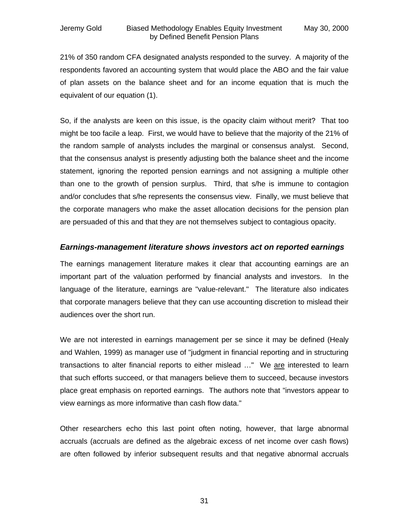21% of 350 random CFA designated analysts responded to the survey. A majority of the respondents favored an accounting system that would place the ABO and the fair value of plan assets on the balance sheet and for an income equation that is much the equivalent of our equation (1).

So, if the analysts are keen on this issue, is the opacity claim without merit? That too might be too facile a leap. First, we would have to believe that the majority of the 21% of the random sample of analysts includes the marginal or consensus analyst. Second, that the consensus analyst is presently adjusting both the balance sheet and the income statement, ignoring the reported pension earnings and not assigning a multiple other than one to the growth of pension surplus. Third, that s/he is immune to contagion and/or concludes that s/he represents the consensus view. Finally, we must believe that the corporate managers who make the asset allocation decisions for the pension plan are persuaded of this and that they are not themselves subject to contagious opacity.

#### *Earnings-management literature shows investors act on reported earnings*

The earnings management literature makes it clear that accounting earnings are an important part of the valuation performed by financial analysts and investors. In the language of the literature, earnings are "value-relevant." The literature also indicates that corporate managers believe that they can use accounting discretion to mislead their audiences over the short run.

We are not interested in earnings management per se since it may be defined (Healy and Wahlen, 1999) as manager use of "judgment in financial reporting and in structuring transactions to alter financial reports to either mislead ..." We are interested to learn that such efforts succeed, or that managers believe them to succeed, because investors place great emphasis on reported earnings. The authors note that "investors appear to view earnings as more informative than cash flow data."

Other researchers echo this last point often noting, however, that large abnormal accruals (accruals are defined as the algebraic excess of net income over cash flows) are often followed by inferior subsequent results and that negative abnormal accruals

31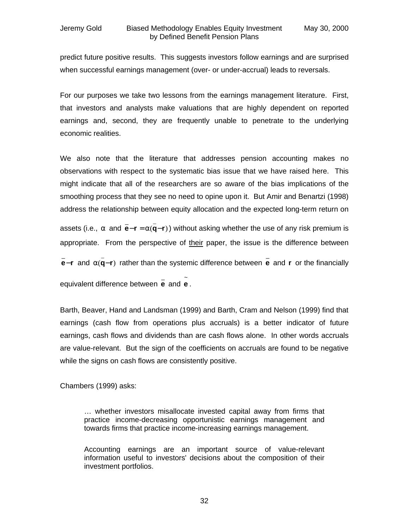predict future positive results. This suggests investors follow earnings and are surprised when successful earnings management (over- or under-accrual) leads to reversals.

For our purposes we take two lessons from the earnings management literature. First, that investors and analysts make valuations that are highly dependent on reported earnings and, second, they are frequently unable to penetrate to the underlying economic realities.

We also note that the literature that addresses pension accounting makes no observations with respect to the systematic bias issue that we have raised here. This might indicate that all of the researchers are so aware of the bias implications of the smoothing process that they see no need to opine upon it. But Amir and Benartzi (1998) address the relationship between equity allocation and the expected long-term return on

assets (i.e., **a** and  $e-r = a(q-r)$ \_ **e**− **r** = **a q**− **r** \_ ) without asking whether the use of any risk premium is appropriate. From the perspective of their paper, the issue is the difference between **e**−**r** \_ and  $\mathbf{a}(\mathbf{q}-\mathbf{r})$ \_ **a** (**q**−**r**) rather than the systemic difference between \_ **e** and **r** or the financially equivalent difference between \_ **e** and ~ **e** .

Barth, Beaver, Hand and Landsman (1999) and Barth, Cram and Nelson (1999) find that earnings (cash flow from operations plus accruals) is a better indicator of future earnings, cash flows and dividends than are cash flows alone. In other words accruals are value-relevant. But the sign of the coefficients on accruals are found to be negative while the signs on cash flows are consistently positive.

Chambers (1999) asks:

… whether investors misallocate invested capital away from firms that practice income-decreasing opportunistic earnings management and towards firms that practice income-increasing earnings management.

Accounting earnings are an important source of value-relevant information useful to investors' decisions about the composition of their investment portfolios.

32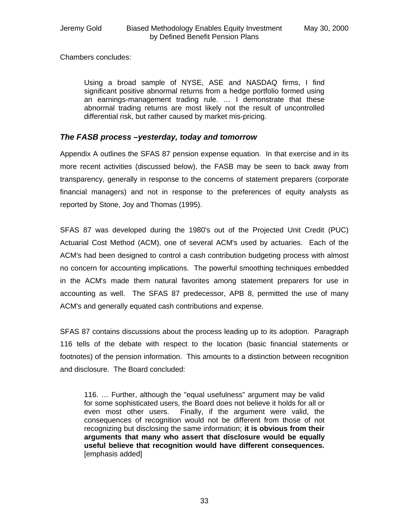Chambers concludes:

Using a broad sample of NYSE, ASE and NASDAQ firms, I find significant positive abnormal returns from a hedge portfolio formed using an earnings-management trading rule. … I demonstrate that these abnormal trading returns are most likely not the result of uncontrolled differential risk, but rather caused by market mis-pricing.

### *The FASB process –yesterday, today and tomorrow*

Appendix A outlines the SFAS 87 pension expense equation. In that exercise and in its more recent activities (discussed below), the FASB may be seen to back away from transparency, generally in response to the concerns of statement preparers (corporate financial managers) and not in response to the preferences of equity analysts as reported by Stone, Joy and Thomas (1995).

SFAS 87 was developed during the 1980's out of the Projected Unit Credit (PUC) Actuarial Cost Method (ACM), one of several ACM's used by actuaries. Each of the ACM's had been designed to control a cash contribution budgeting process with almost no concern for accounting implications. The powerful smoothing techniques embedded in the ACM's made them natural favorites among statement preparers for use in accounting as well. The SFAS 87 predecessor, APB 8, permitted the use of many ACM's and generally equated cash contributions and expense.

SFAS 87 contains discussions about the process leading up to its adoption. Paragraph 116 tells of the debate with respect to the location (basic financial statements or footnotes) of the pension information. This amounts to a distinction between recognition and disclosure. The Board concluded:

116. … Further, although the "equal usefulness" argument may be valid for some sophisticated users, the Board does not believe it holds for all or even most other users. Finally, if the argument were valid, the consequences of recognition would not be different from those of not recognizing but disclosing the same information; **it is obvious from their arguments that many who assert that disclosure would be equally useful believe that recognition would have different consequences.** [emphasis added]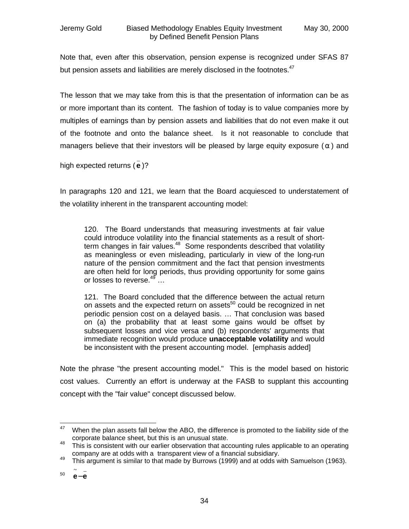Note that, even after this observation, pension expense is recognized under SFAS 87 but pension assets and liabilities are merely disclosed in the footnotes. $47$ 

The lesson that we may take from this is that the presentation of information can be as or more important than its content. The fashion of today is to value companies more by multiples of earnings than by pension assets and liabilities that do not even make it out of the footnote and onto the balance sheet. Is it not reasonable to conclude that managers believe that their investors will be pleased by large equity exposure (**a** ) and

high expected returns ( **e** )? \_

In paragraphs 120 and 121, we learn that the Board acquiesced to understatement of the volatility inherent in the transparent accounting model:

120. The Board understands that measuring investments at fair value could introduce volatility into the financial statements as a result of shortterm changes in fair values. $48$  Some respondents described that volatility as meaningless or even misleading, particularly in view of the long-run nature of the pension commitment and the fact that pension investments are often held for long periods, thus providing opportunity for some gains or losses to reverse.<sup>49</sup> ...

121. The Board concluded that the difference between the actual return on assets and the expected return on assets<sup>50</sup> could be recognized in net periodic pension cost on a delayed basis. … That conclusion was based on (a) the probability that at least some gains would be offset by subsequent losses and vice versa and (b) respondents' arguments that immediate recognition would produce **unacceptable volatility** and would be inconsistent with the present accounting model. [emphasis added]

Note the phrase "the present accounting model." This is the model based on historic cost values. Currently an effort is underway at the FASB to supplant this accounting concept with the "fair value" concept discussed below.

<sup>47</sup> When the plan assets fall below the ABO, the difference is promoted to the liability side of the corporate balance sheet, but this is an unusual state.

<sup>&</sup>lt;sup>48</sup> This is consistent with our earlier observation that accounting rules applicable to an operating company are at odds with a transparent view of a financial subsidiary.

<sup>&</sup>lt;sup>49</sup> This argument is similar to that made by Burrows (1999) and at odds with Samuelson (1963).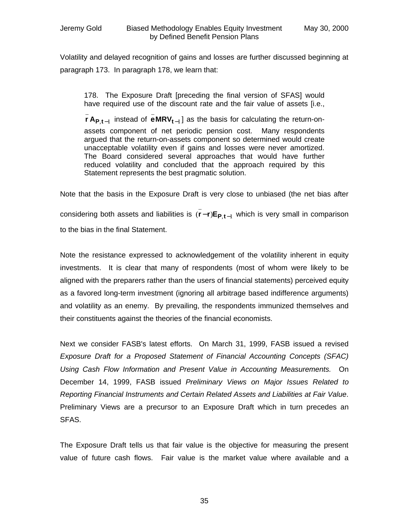\_

Volatility and delayed recognition of gains and losses are further discussed beginning at paragraph 173. In paragraph 178, we learn that:

178. The Exposure Draft [preceding the final version of SFAS] would have required use of the discount rate and the fair value of assets [i.e.,

\_

 $, t-1$ **r** A $_{\text{P},\text{t}-1}$  instead of <code>eMRV</code> $_{\text{t}-1}$ **eMRVt**<sup>−</sup> ] as the basis for calculating the return-onassets component of net periodic pension cost. Many respondents argued that the return-on-assets component so determined would create unacceptable volatility even if gains and losses were never amortized. The Board considered several approaches that would have further reduced volatility and concluded that the approach required by this Statement represents the best pragmatic solution.

Note that the basis in the Exposure Draft is very close to unbiased (the net bias after considering both assets and liabilities is  $(r-r)E_{P,t-1}$ \_ (r-r)E<sub>P,t-1</sub> which is very small in comparison to the bias in the final Statement.

Note the resistance expressed to acknowledgement of the volatility inherent in equity investments. It is clear that many of respondents (most of whom were likely to be aligned with the preparers rather than the users of financial statements) perceived equity as a favored long-term investment (ignoring all arbitrage based indifference arguments) and volatility as an enemy. By prevailing, the respondents immunized themselves and their constituents against the theories of the financial economists.

Next we consider FASB's latest efforts. On March 31, 1999, FASB issued a revised *Exposure Draft for a Proposed Statement of Financial Accounting Concepts (SFAC) Using Cash Flow Information and Present Value in Accounting Measurements.* On December 14, 1999, FASB issued *Preliminary Views on Major Issues Related to Reporting Financial Instruments and Certain Related Assets and Liabilities at Fair Value*. Preliminary Views are a precursor to an Exposure Draft which in turn precedes an SFAS.

The Exposure Draft tells us that fair value is the objective for measuring the present value of future cash flows. Fair value is the market value where available and a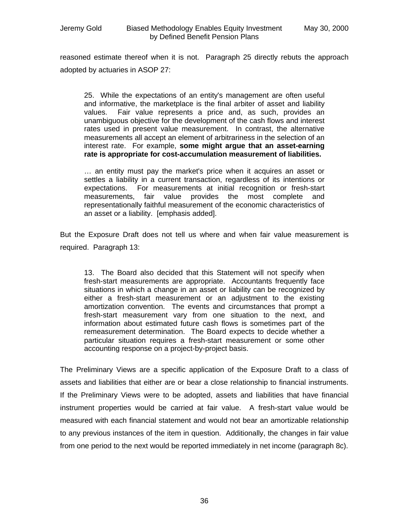reasoned estimate thereof when it is not. Paragraph 25 directly rebuts the approach adopted by actuaries in ASOP 27:

25. While the expectations of an entity's management are often useful and informative, the marketplace is the final arbiter of asset and liability values. Fair value represents a price and, as such, provides an unambiguous objective for the development of the cash flows and interest rates used in present value measurement. In contrast, the alternative measurements all accept an element of arbitrariness in the selection of an interest rate. For example, **some might argue that an asset-earning rate is appropriate for cost-accumulation measurement of liabilities.**

… an entity must pay the market's price when it acquires an asset or settles a liability in a current transaction, regardless of its intentions or expectations. For measurements at initial recognition or fresh-start measurements, fair value provides the most complete and representationally faithful measurement of the economic characteristics of an asset or a liability. [emphasis added].

But the Exposure Draft does not tell us where and when fair value measurement is required. Paragraph 13:

13. The Board also decided that this Statement will not specify when fresh-start measurements are appropriate. Accountants frequently face situations in which a change in an asset or liability can be recognized by either a fresh-start measurement or an adjustment to the existing amortization convention. The events and circumstances that prompt a fresh-start measurement vary from one situation to the next, and information about estimated future cash flows is sometimes part of the remeasurement determination. The Board expects to decide whether a particular situation requires a fresh-start measurement or some other accounting response on a project-by-project basis.

The Preliminary Views are a specific application of the Exposure Draft to a class of assets and liabilities that either are or bear a close relationship to financial instruments. If the Preliminary Views were to be adopted, assets and liabilities that have financial instrument properties would be carried at fair value. A fresh-start value would be measured with each financial statement and would not bear an amortizable relationship to any previous instances of the item in question. Additionally, the changes in fair value from one period to the next would be reported immediately in net income (paragraph 8c).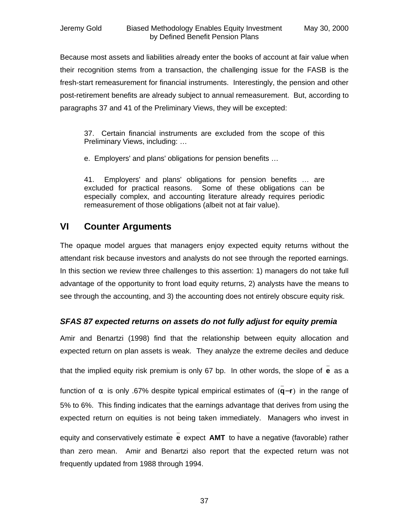Because most assets and liabilities already enter the books of account at fair value when their recognition stems from a transaction, the challenging issue for the FASB is the fresh-start remeasurement for financial instruments. Interestingly, the pension and other post-retirement benefits are already subject to annual remeasurement. But, according to paragraphs 37 and 41 of the Preliminary Views, they will be excepted:

37. Certain financial instruments are excluded from the scope of this Preliminary Views, including: …

e. Employers' and plans' obligations for pension benefits …

41. Employers' and plans' obligations for pension benefits … are excluded for practical reasons. Some of these obligations can be especially complex, and accounting literature already requires periodic remeasurement of those obligations (albeit not at fair value).

### **VI Counter Arguments**

The opaque model argues that managers enjoy expected equity returns without the attendant risk because investors and analysts do not see through the reported earnings. In this section we review three challenges to this assertion: 1) managers do not take full advantage of the opportunity to front load equity returns, 2) analysts have the means to see through the accounting, and 3) the accounting does not entirely obscure equity risk.

### *SFAS 87 expected returns on assets do not fully adjust for equity premia*

Amir and Benartzi (1998) find that the relationship between equity allocation and expected return on plan assets is weak. They analyze the extreme deciles and deduce

that the implied equity risk premium is only 67 bp. In other words, the slope of **e** as a \_

function of **a** is only .67% despite typical empirical estimates of (**q**−**r**) in the range of \_ 5% to 6%. This finding indicates that the earnings advantage that derives from using the expected return on equities is not being taken immediately. Managers who invest in

equity and conservatively estimate **e** expect **AMT** to have a negative (favorable) rather \_ than zero mean. Amir and Benartzi also report that the expected return was not frequently updated from 1988 through 1994.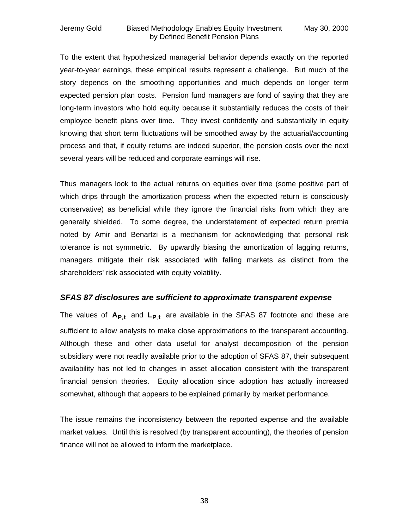#### Jeremy Gold Biased Methodology Enables Equity Investment May 30, 2000 by Defined Benefit Pension Plans

To the extent that hypothesized managerial behavior depends exactly on the reported year-to-year earnings, these empirical results represent a challenge. But much of the story depends on the smoothing opportunities and much depends on longer term expected pension plan costs. Pension fund managers are fond of saying that they are long-term investors who hold equity because it substantially reduces the costs of their employee benefit plans over time. They invest confidently and substantially in equity knowing that short term fluctuations will be smoothed away by the actuarial/accounting process and that, if equity returns are indeed superior, the pension costs over the next several years will be reduced and corporate earnings will rise.

Thus managers look to the actual returns on equities over time (some positive part of which drips through the amortization process when the expected return is consciously conservative) as beneficial while they ignore the financial risks from which they are generally shielded. To some degree, the understatement of expected return premia noted by Amir and Benartzi is a mechanism for acknowledging that personal risk tolerance is not symmetric. By upwardly biasing the amortization of lagging returns, managers mitigate their risk associated with falling markets as distinct from the shareholders' risk associated with equity volatility.

#### *SFAS 87 disclosures are sufficient to approximate transparent expense*

The values of **AP**,**<sup>t</sup>** and **LP**,**<sup>t</sup>** are available in the SFAS 87 footnote and these are sufficient to allow analysts to make close approximations to the transparent accounting. Although these and other data useful for analyst decomposition of the pension subsidiary were not readily available prior to the adoption of SFAS 87, their subsequent availability has not led to changes in asset allocation consistent with the transparent financial pension theories. Equity allocation since adoption has actually increased somewhat, although that appears to be explained primarily by market performance.

The issue remains the inconsistency between the reported expense and the available market values. Until this is resolved (by transparent accounting), the theories of pension finance will not be allowed to inform the marketplace.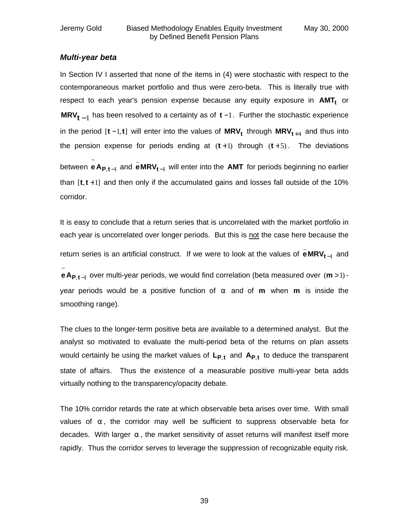#### *Multi-year beta*

In Section IV I asserted that none of the items in (4) were stochastic with respect to the contemporaneous market portfolio and thus were zero-beta. This is literally true with respect to each year's pension expense because any equity exposure in **AMT<sup>t</sup>** or **MRV<sub>t − 1</sub> has been resolved to a certainty as of <b>t** −1. Further the stochastic experience in the period [**t** −1,**t**] will enter into the values of **MRV<sup>t</sup>** through **MRVt**+<sup>4</sup> and thus into the pension expense for periods ending at  $(t+1)$  through  $(t+5)$ . The deviations between **eA<sub>P,t</mark>-**l</sub> ~  $e$  **A**  $_{\text{P},\text{t}-1}$  and  $e$  **MRV**  $_{\text{t}-1}$ \_ **eMRVt**<sup>−</sup> will enter into the **AMT** for periods beginning no earlier than [**t**,**t** +1] and then only if the accumulated gains and losses fall outside of the 10% corridor.

It is easy to conclude that a return series that is uncorrelated with the market portfolio in each year is uncorrelated over longer periods. But this is not the case here because the return series is an artificial construct. If we were to look at the values of  $\texttt{eMRV}_{t-1}$ \_ **eMRV<sub>t−l</sub> and** 

 $, t-1$ ~ **eA<sub>P,t−1</sub>** over multi-year periods, we would find correlation (beta measured over (m > 1) year periods would be a positive function of **a** and of **m** when **m** is inside the smoothing range).

The clues to the longer-term positive beta are available to a determined analyst. But the analyst so motivated to evaluate the multi-period beta of the returns on plan assets would certainly be using the market values of **LP**,**<sup>t</sup>** and **AP**,**<sup>t</sup>** to deduce the transparent state of affairs. Thus the existence of a measurable positive multi-year beta adds virtually nothing to the transparency/opacity debate.

The 10% corridor retards the rate at which observable beta arises over time. With small values of **a** , the corridor may well be sufficient to suppress observable beta for decades. With larger **a** , the market sensitivity of asset returns will manifest itself more rapidly. Thus the corridor serves to leverage the suppression of recognizable equity risk.

39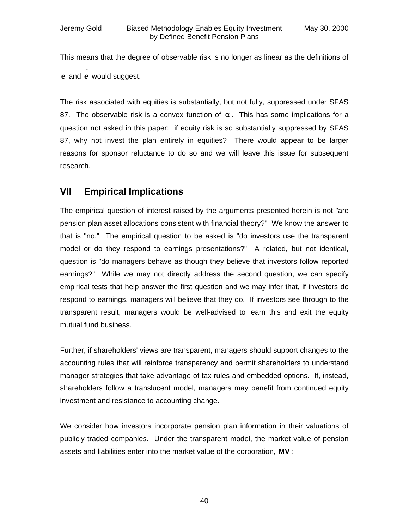This means that the degree of observable risk is no longer as linear as the definitions of \_ **e** and ~ **e** would suggest.

The risk associated with equities is substantially, but not fully, suppressed under SFAS 87. The observable risk is a convex function of **a** . This has some implications for a question not asked in this paper: if equity risk is so substantially suppressed by SFAS 87, why not invest the plan entirely in equities? There would appear to be larger reasons for sponsor reluctance to do so and we will leave this issue for subsequent research.

### **VII Empirical Implications**

The empirical question of interest raised by the arguments presented herein is not "are pension plan asset allocations consistent with financial theory?" We know the answer to that is "no." The empirical question to be asked is "do investors use the transparent model or do they respond to earnings presentations?" A related, but not identical, question is "do managers behave as though they believe that investors follow reported earnings?" While we may not directly address the second question, we can specify empirical tests that help answer the first question and we may infer that, if investors do respond to earnings, managers will believe that they do. If investors see through to the transparent result, managers would be well-advised to learn this and exit the equity mutual fund business.

Further, if shareholders' views are transparent, managers should support changes to the accounting rules that will reinforce transparency and permit shareholders to understand manager strategies that take advantage of tax rules and embedded options. If, instead, shareholders follow a translucent model, managers may benefit from continued equity investment and resistance to accounting change.

We consider how investors incorporate pension plan information in their valuations of publicly traded companies. Under the transparent model, the market value of pension assets and liabilities enter into the market value of the corporation, **MV** :

40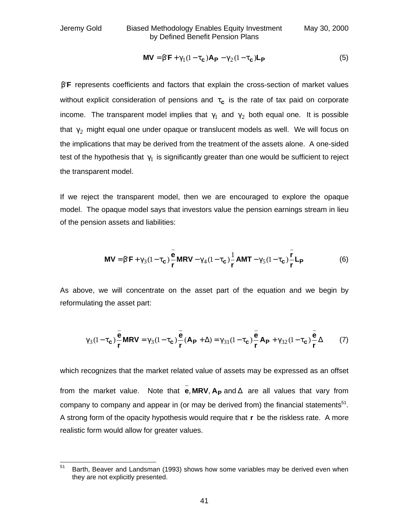Jeremy Gold Biased Methodology Enables Equity Investment May 30, 2000 by Defined Benefit Pension Plans

$$
MV = b'F + g_1(1 - t_c)A_P - g_2(1 - t_c)L_P
$$
\n(5)

**b**<sup>'</sup>**F** represents coefficients and factors that explain the cross-section of market values without explicit consideration of pensions and  $t_c$  is the rate of tax paid on corporate income. The transparent model implies that **g** and **g**<sub>2</sub> both equal one. It is possible that  $\mathbf{g}_2$  might equal one under opaque or translucent models as well. We will focus on the implications that may be derived from the treatment of the assets alone. A one-sided test of the hypothesis that <sup>1</sup> **g** is significantly greater than one would be sufficient to reject the transparent model.

If we reject the transparent model, then we are encouraged to explore the opaque model. The opaque model says that investors value the pension earnings stream in lieu of the pension assets and liabilities:

$$
MV = b'F + g_3(1 - t_c)\frac{\overline{e}}{r} MRV - g_4(1 - t_c)\frac{1}{r} AMT - g_5(1 - t_c)\frac{\overline{r}}{r}L_p
$$
 (6)

As above, we will concentrate on the asset part of the equation and we begin by reformulating the asset part:

$$
\mathbf{g}_3(1-\mathbf{t}_c)\frac{\overline{e}}{r}MRV = \mathbf{g}_3(1-\mathbf{t}_c)\frac{\overline{e}}{r}(A_P+\Delta) = \mathbf{g}_{31}(1-\mathbf{t}_c)\frac{\overline{e}}{r}A_P + \mathbf{g}_{32}(1-\mathbf{t}_c)\frac{\overline{e}}{r}\Delta
$$
 (7)

which recognizes that the market related value of assets may be expressed as an offset from the market value. Note that **e**, **MRV**, **A<sup>P</sup>** and Δ \_ are all values that vary from company to company and appear in (or may be derived from) the financial statements $51$ . A strong form of the opacity hypothesis would require that **r** be the riskless rate. A more realistic form would allow for greater values.

<sup>51</sup> Barth, Beaver and Landsman (1993) shows how some variables may be derived even when they are not explicitly presented.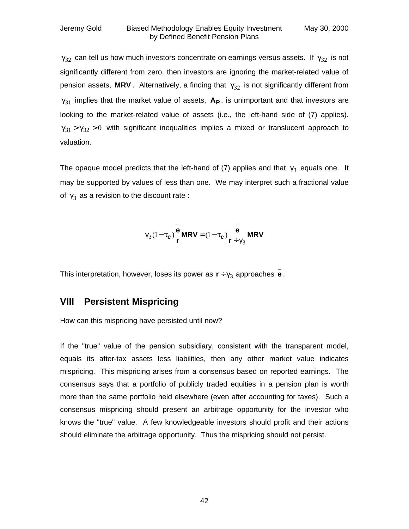$\mathbf{g}_{32}$  can tell us how much investors concentrate on earnings versus assets. If  $\mathbf{g}_{32}$  is not significantly different from zero, then investors are ignoring the market-related value of pension assets,  $MRV$ . Alternatively, a finding that  $g_{32}$  is not significantly different from <sup>31</sup> **g** implies that the market value of assets, **A<sup>P</sup>** , is unimportant and that investors are looking to the market-related value of assets (i.e., the left-hand side of (7) applies).  $g_{31} > g_{32} > 0$  with significant inequalities implies a mixed or translucent approach to valuation.

The opaque model predicts that the left-hand of (7) applies and that  $\mathbf{g}_3$  equals one. It may be supported by values of less than one. We may interpret such a fractional value of  $\mathbf{g}_3$  as a revision to the discount rate :

$$
\mathbf{g}_3(1-\mathbf{t_c})\frac{\mathbf{e}}{\mathbf{r}}\mathbf{M}\mathbf{R}\mathbf{V} = (1-\mathbf{t_c})\frac{\mathbf{e}}{\mathbf{r}+\mathbf{g}_3}\mathbf{M}\mathbf{R}\mathbf{V}
$$

This interpretation, however, loses its power as  $\mathbf{r} \div \mathbf{g}_3$  approaches  $\mathbf{e}$ . \_

### **VIII Persistent Mispricing**

How can this mispricing have persisted until now?

If the "true" value of the pension subsidiary, consistent with the transparent model, equals its after-tax assets less liabilities, then any other market value indicates mispricing. This mispricing arises from a consensus based on reported earnings. The consensus says that a portfolio of publicly traded equities in a pension plan is worth more than the same portfolio held elsewhere (even after accounting for taxes). Such a consensus mispricing should present an arbitrage opportunity for the investor who knows the "true" value. A few knowledgeable investors should profit and their actions should eliminate the arbitrage opportunity. Thus the mispricing should not persist.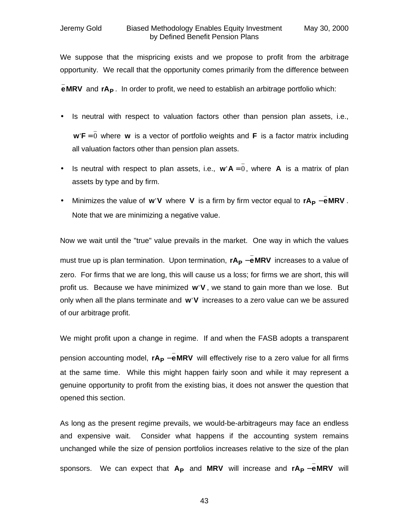We suppose that the mispricing exists and we propose to profit from the arbitrage opportunity. We recall that the opportunity comes primarily from the difference between

**eMRV** and **rA<sup>P</sup>** . In order to profit, we need to establish an arbitrage portfolio which: \_

- Is neutral with respect to valuation factors other than pension plan assets, i.e., \_ **w**'**F** = 0 where **w** is a vector of portfolio weights and **F** is a factor matrix including all valuation factors other than pension plan assets.
- Is neutral with respect to plan assets, i.e.,  $w' A = 0$ , where **A** is a matrix of plan \_ assets by type and by firm.
- Minimizes the value of **w**'V where V is a firm by firm vector equal to  $rA_p eMRV$ \_ –eMRV. Note that we are minimizing a negative value.

Now we wait until the "true" value prevails in the market. One way in which the values must true up is plan termination. Upon termination,  $rA_P - eMRV$ \_ −eMRV increases to a value of zero. For firms that we are long, this will cause us a loss; for firms we are short, this will profit us. Because we have minimized **w**'**V** , we stand to gain more than we lose. But only when all the plans terminate and **w**'**V** increases to a zero value can we be assured of our arbitrage profit.

We might profit upon a change in regime. If and when the FASB adopts a transparent

pension accounting model, rA<sub>P</sub> −eMRV will effectively rise to a zero value for all firms \_ at the same time. While this might happen fairly soon and while it may represent a genuine opportunity to profit from the existing bias, it does not answer the question that opened this section.

As long as the present regime prevails, we would-be-arbitrageurs may face an endless and expensive wait. Consider what happens if the accounting system remains unchanged while the size of pension portfolios increases relative to the size of the plan sponsors. We can expect that A<sub>P</sub> and MRV will increase and rA<sub>P</sub> −eMRV will \_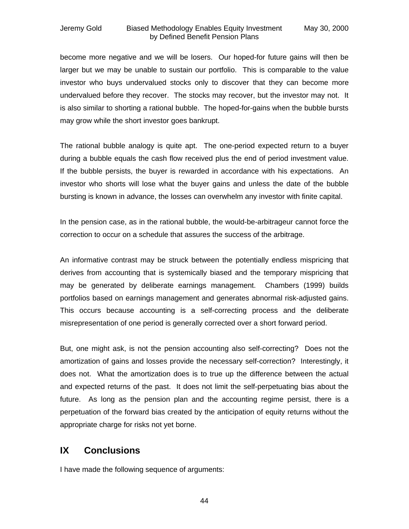#### Jeremy Gold Biased Methodology Enables Equity Investment May 30, 2000 by Defined Benefit Pension Plans

become more negative and we will be losers. Our hoped-for future gains will then be larger but we may be unable to sustain our portfolio. This is comparable to the value investor who buys undervalued stocks only to discover that they can become more undervalued before they recover. The stocks may recover, but the investor may not. It is also similar to shorting a rational bubble. The hoped-for-gains when the bubble bursts may grow while the short investor goes bankrupt.

The rational bubble analogy is quite apt. The one-period expected return to a buyer during a bubble equals the cash flow received plus the end of period investment value. If the bubble persists, the buyer is rewarded in accordance with his expectations. An investor who shorts will lose what the buyer gains and unless the date of the bubble bursting is known in advance, the losses can overwhelm any investor with finite capital.

In the pension case, as in the rational bubble, the would-be-arbitrageur cannot force the correction to occur on a schedule that assures the success of the arbitrage.

An informative contrast may be struck between the potentially endless mispricing that derives from accounting that is systemically biased and the temporary mispricing that may be generated by deliberate earnings management. Chambers (1999) builds portfolios based on earnings management and generates abnormal risk-adjusted gains. This occurs because accounting is a self-correcting process and the deliberate misrepresentation of one period is generally corrected over a short forward period.

But, one might ask, is not the pension accounting also self-correcting? Does not the amortization of gains and losses provide the necessary self-correction? Interestingly, it does not. What the amortization does is to true up the difference between the actual and expected returns of the past. It does not limit the self-perpetuating bias about the future. As long as the pension plan and the accounting regime persist, there is a perpetuation of the forward bias created by the anticipation of equity returns without the appropriate charge for risks not yet borne.

### **IX Conclusions**

I have made the following sequence of arguments:

44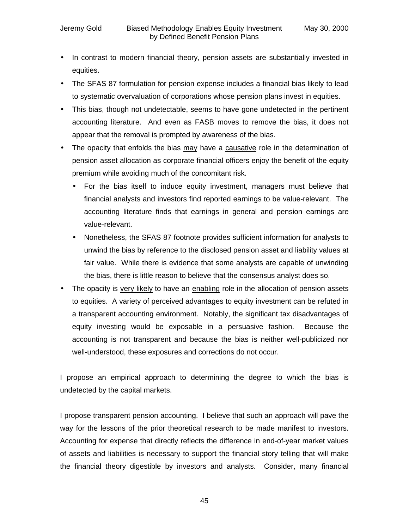- In contrast to modern financial theory, pension assets are substantially invested in equities.
- The SFAS 87 formulation for pension expense includes a financial bias likely to lead to systematic overvaluation of corporations whose pension plans invest in equities.
- This bias, though not undetectable, seems to have gone undetected in the pertinent accounting literature. And even as FASB moves to remove the bias, it does not appear that the removal is prompted by awareness of the bias.
- The opacity that enfolds the bias may have a causative role in the determination of pension asset allocation as corporate financial officers enjoy the benefit of the equity premium while avoiding much of the concomitant risk.
	- For the bias itself to induce equity investment, managers must believe that financial analysts and investors find reported earnings to be value-relevant. The accounting literature finds that earnings in general and pension earnings are value-relevant.
	- Nonetheless, the SFAS 87 footnote provides sufficient information for analysts to unwind the bias by reference to the disclosed pension asset and liability values at fair value. While there is evidence that some analysts are capable of unwinding the bias, there is little reason to believe that the consensus analyst does so.
- The opacity is very likely to have an enabling role in the allocation of pension assets to equities. A variety of perceived advantages to equity investment can be refuted in a transparent accounting environment. Notably, the significant tax disadvantages of equity investing would be exposable in a persuasive fashion. Because the accounting is not transparent and because the bias is neither well-publicized nor well-understood, these exposures and corrections do not occur.

I propose an empirical approach to determining the degree to which the bias is undetected by the capital markets.

I propose transparent pension accounting. I believe that such an approach will pave the way for the lessons of the prior theoretical research to be made manifest to investors. Accounting for expense that directly reflects the difference in end-of-year market values of assets and liabilities is necessary to support the financial story telling that will make the financial theory digestible by investors and analysts. Consider, many financial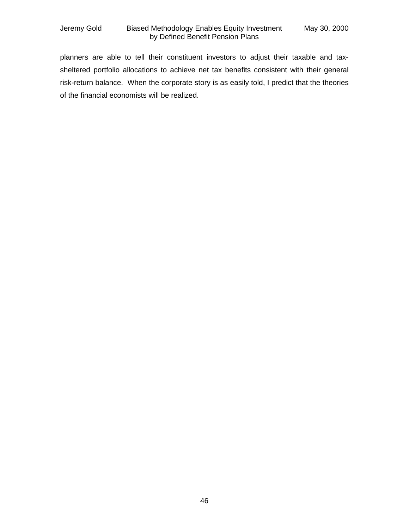### Jeremy Gold Biased Methodology Enables Equity Investment May 30, 2000 by Defined Benefit Pension Plans

planners are able to tell their constituent investors to adjust their taxable and taxsheltered portfolio allocations to achieve net tax benefits consistent with their general risk-return balance. When the corporate story is as easily told, I predict that the theories of the financial economists will be realized.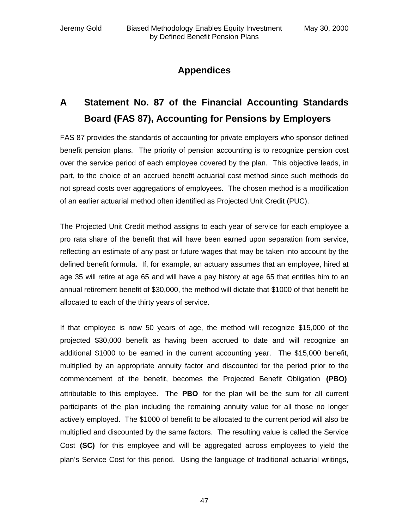### **Appendices**

## **A Statement No. 87 of the Financial Accounting Standards Board (FAS 87), Accounting for Pensions by Employers**

FAS 87 provides the standards of accounting for private employers who sponsor defined benefit pension plans. The priority of pension accounting is to recognize pension cost over the service period of each employee covered by the plan. This objective leads, in part, to the choice of an accrued benefit actuarial cost method since such methods do not spread costs over aggregations of employees. The chosen method is a modification of an earlier actuarial method often identified as Projected Unit Credit (PUC).

The Projected Unit Credit method assigns to each year of service for each employee a pro rata share of the benefit that will have been earned upon separation from service, reflecting an estimate of any past or future wages that may be taken into account by the defined benefit formula. If, for example, an actuary assumes that an employee, hired at age 35 will retire at age 65 and will have a pay history at age 65 that entitles him to an annual retirement benefit of \$30,000, the method will dictate that \$1000 of that benefit be allocated to each of the thirty years of service.

If that employee is now 50 years of age, the method will recognize \$15,000 of the projected \$30,000 benefit as having been accrued to date and will recognize an additional \$1000 to be earned in the current accounting year. The \$15,000 benefit, multiplied by an appropriate annuity factor and discounted for the period prior to the commencement of the benefit, becomes the Projected Benefit Obligation **(PBO)** attributable to this employee. The **PBO** for the plan will be the sum for all current participants of the plan including the remaining annuity value for all those no longer actively employed. The \$1000 of benefit to be allocated to the current period will also be multiplied and discounted by the same factors. The resulting value is called the Service Cost **(SC)** for this employee and will be aggregated across employees to yield the plan's Service Cost for this period. Using the language of traditional actuarial writings,

47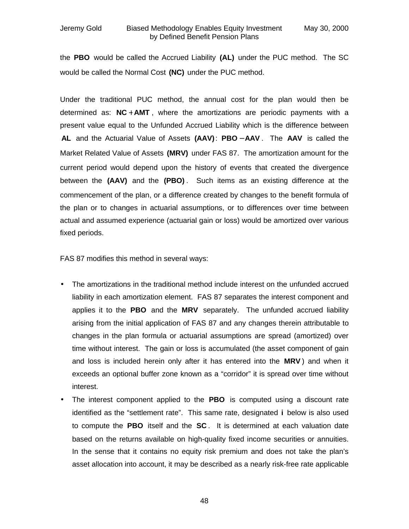the **PBO** would be called the Accrued Liability **(AL)** under the PUC method. The SC would be called the Normal Cost **(NC)** under the PUC method.

Under the traditional PUC method, the annual cost for the plan would then be determined as: **NC** + **AMT** , where the amortizations are periodic payments with a present value equal to the Unfunded Accrued Liability which is the difference between **AL** and the Actuarial Value of Assets **(AAV)**: **PBO** − **AAV** . The **AAV** is called the Market Related Value of Assets **(MRV)** under FAS 87. The amortization amount for the current period would depend upon the history of events that created the divergence between the **(AAV)** and the **(PBO)** . Such items as an existing difference at the commencement of the plan, or a difference created by changes to the benefit formula of the plan or to changes in actuarial assumptions, or to differences over time between actual and assumed experience (actuarial gain or loss) would be amortized over various fixed periods.

FAS 87 modifies this method in several ways:

- The amortizations in the traditional method include interest on the unfunded accrued liability in each amortization element. FAS 87 separates the interest component and applies it to the **PBO** and the **MRV** separately. The unfunded accrued liability arising from the initial application of FAS 87 and any changes therein attributable to changes in the plan formula or actuarial assumptions are spread (amortized) over time without interest. The gain or loss is accumulated (the asset component of gain and loss is included herein only after it has entered into the **MRV** ) and when it exceeds an optional buffer zone known as a "corridor" it is spread over time without interest.
- The interest component applied to the **PBO** is computed using a discount rate identified as the "settlement rate". This same rate, designated **i** below is also used to compute the **PBO** itself and the **SC** . It is determined at each valuation date based on the returns available on high-quality fixed income securities or annuities. In the sense that it contains no equity risk premium and does not take the plan's asset allocation into account, it may be described as a nearly risk-free rate applicable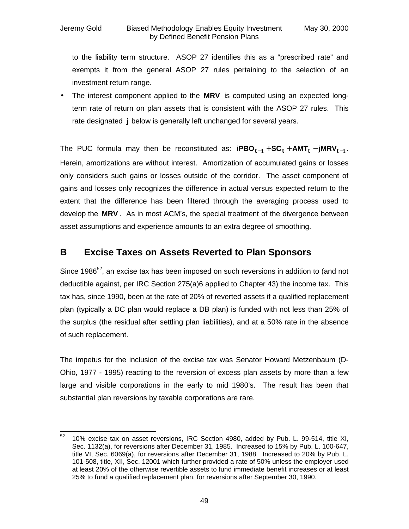to the liability term structure. ASOP 27 identifies this as a "prescribed rate" and exempts it from the general ASOP 27 rules pertaining to the selection of an investment return range.

• The interest component applied to the **MRV** is computed using an expected longterm rate of return on plan assets that is consistent with the ASOP 27 rules. This rate designated **j** below is generally left unchanged for several years.

The PUC formula may then be reconstituted as:  $\mathbf{iPBO_{t-1}} + \mathbf{SC_t} + \mathbf{AMT_t} - \mathbf{jMRV_{t-1}}$ . Herein, amortizations are without interest. Amortization of accumulated gains or losses only considers such gains or losses outside of the corridor. The asset component of gains and losses only recognizes the difference in actual versus expected return to the extent that the difference has been filtered through the averaging process used to develop the **MRV** . As in most ACM's, the special treatment of the divergence between asset assumptions and experience amounts to an extra degree of smoothing.

### **B Excise Taxes on Assets Reverted to Plan Sponsors**

Since 1986<sup>52</sup>, an excise tax has been imposed on such reversions in addition to (and not deductible against, per IRC Section 275(a)6 applied to Chapter 43) the income tax. This tax has, since 1990, been at the rate of 20% of reverted assets if a qualified replacement plan (typically a DC plan would replace a DB plan) is funded with not less than 25% of the surplus (the residual after settling plan liabilities), and at a 50% rate in the absence of such replacement.

The impetus for the inclusion of the excise tax was Senator Howard Metzenbaum (D-Ohio, 1977 - 1995) reacting to the reversion of excess plan assets by more than a few large and visible corporations in the early to mid 1980's. The result has been that substantial plan reversions by taxable corporations are rare.

<sup>52</sup> <sup>52</sup> 10% excise tax on asset reversions, IRC Section 4980, added by Pub. L. 99-514, title XI, Sec. 1132(a), for reversions after December 31, 1985. Increased to 15% by Pub. L. 100-647, title VI, Sec. 6069(a), for reversions after December 31, 1988. Increased to 20% by Pub. L. 101-508, title, XII, Sec. 12001 which further provided a rate of 50% unless the employer used at least 20% of the otherwise revertible assets to fund immediate benefit increases or at least 25% to fund a qualified replacement plan, for reversions after September 30, 1990.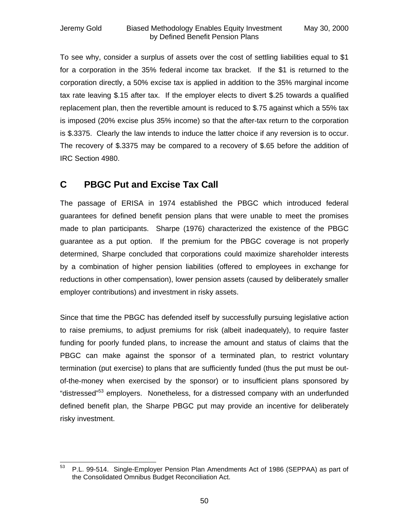To see why, consider a surplus of assets over the cost of settling liabilities equal to \$1 for a corporation in the 35% federal income tax bracket. If the \$1 is returned to the corporation directly, a 50% excise tax is applied in addition to the 35% marginal income tax rate leaving \$.15 after tax. If the employer elects to divert \$.25 towards a qualified replacement plan, then the revertible amount is reduced to \$.75 against which a 55% tax is imposed (20% excise plus 35% income) so that the after-tax return to the corporation is \$.3375. Clearly the law intends to induce the latter choice if any reversion is to occur. The recovery of \$.3375 may be compared to a recovery of \$.65 before the addition of IRC Section 4980.

### **C PBGC Put and Excise Tax Call**

The passage of ERISA in 1974 established the PBGC which introduced federal guarantees for defined benefit pension plans that were unable to meet the promises made to plan participants. Sharpe (1976) characterized the existence of the PBGC guarantee as a put option. If the premium for the PBGC coverage is not properly determined, Sharpe concluded that corporations could maximize shareholder interests by a combination of higher pension liabilities (offered to employees in exchange for reductions in other compensation), lower pension assets (caused by deliberately smaller employer contributions) and investment in risky assets.

Since that time the PBGC has defended itself by successfully pursuing legislative action to raise premiums, to adjust premiums for risk (albeit inadequately), to require faster funding for poorly funded plans, to increase the amount and status of claims that the PBGC can make against the sponsor of a terminated plan, to restrict voluntary termination (put exercise) to plans that are sufficiently funded (thus the put must be outof-the-money when exercised by the sponsor) or to insufficient plans sponsored by "distressed"<sup>53</sup> emplovers. Nonetheless, for a distressed company with an underfunded defined benefit plan, the Sharpe PBGC put may provide an incentive for deliberately risky investment.

<sup>53</sup> <sup>53</sup> P.L. 99-514. Single-Employer Pension Plan Amendments Act of 1986 (SEPPAA) as part of the Consolidated Omnibus Budget Reconciliation Act.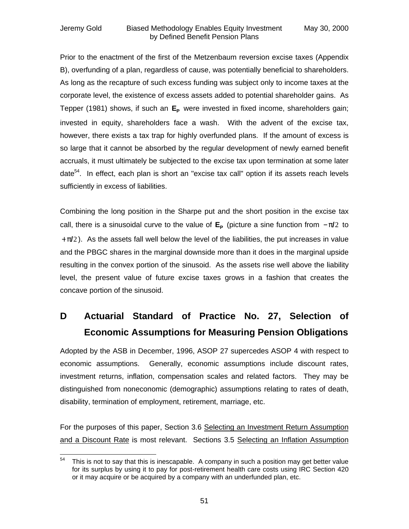Prior to the enactment of the first of the Metzenbaum reversion excise taxes (Appendix B), overfunding of a plan, regardless of cause, was potentially beneficial to shareholders. As long as the recapture of such excess funding was subject only to income taxes at the corporate level, the existence of excess assets added to potential shareholder gains. As Tepper (1981) shows, if such an  $E_P$  were invested in fixed income, shareholders gain; invested in equity, shareholders face a wash. With the advent of the excise tax, however, there exists a tax trap for highly overfunded plans. If the amount of excess is so large that it cannot be absorbed by the regular development of newly earned benefit accruals, it must ultimately be subjected to the excise tax upon termination at some later date<sup>54</sup>. In effect, each plan is short an "excise tax call" option if its assets reach levels sufficiently in excess of liabilities.

Combining the long position in the Sharpe put and the short position in the excise tax call, there is a sinusoidal curve to the value of **E<sup>P</sup>** (picture a sine function from − **p/**2 to + **p/**2 ). As the assets fall well below the level of the liabilities, the put increases in value and the PBGC shares in the marginal downside more than it does in the marginal upside resulting in the convex portion of the sinusoid. As the assets rise well above the liability level, the present value of future excise taxes grows in a fashion that creates the concave portion of the sinusoid.

## **D Actuarial Standard of Practice No. 27, Selection of Economic Assumptions for Measuring Pension Obligations**

Adopted by the ASB in December, 1996, ASOP 27 supercedes ASOP 4 with respect to economic assumptions. Generally, economic assumptions include discount rates, investment returns, inflation, compensation scales and related factors. They may be distinguished from noneconomic (demographic) assumptions relating to rates of death, disability, termination of employment, retirement, marriage, etc.

For the purposes of this paper, Section 3.6 Selecting an Investment Return Assumption and a Discount Rate is most relevant. Sections 3.5 Selecting an Inflation Assumption

<sup>54</sup> This is not to say that this is inescapable. A company in such a position may get better value for its surplus by using it to pay for post-retirement health care costs using IRC Section 420 or it may acquire or be acquired by a company with an underfunded plan, etc.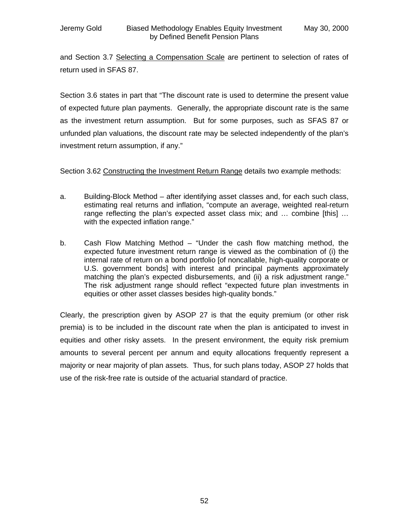and Section 3.7 Selecting a Compensation Scale are pertinent to selection of rates of return used in SFAS 87.

Section 3.6 states in part that "The discount rate is used to determine the present value of expected future plan payments. Generally, the appropriate discount rate is the same as the investment return assumption. But for some purposes, such as SFAS 87 or unfunded plan valuations, the discount rate may be selected independently of the plan's investment return assumption, if any."

Section 3.62 Constructing the Investment Return Range details two example methods:

- a. Building-Block Method after identifying asset classes and, for each such class, estimating real returns and inflation, "compute an average, weighted real-return range reflecting the plan's expected asset class mix; and … combine [this] … with the expected inflation range."
- b. Cash Flow Matching Method "Under the cash flow matching method, the expected future investment return range is viewed as the combination of (i) the internal rate of return on a bond portfolio [of noncallable, high-quality corporate or U.S. government bonds] with interest and principal payments approximately matching the plan's expected disbursements, and (ii) a risk adjustment range." The risk adjustment range should reflect "expected future plan investments in equities or other asset classes besides high-quality bonds."

Clearly, the prescription given by ASOP 27 is that the equity premium (or other risk premia) is to be included in the discount rate when the plan is anticipated to invest in equities and other risky assets. In the present environment, the equity risk premium amounts to several percent per annum and equity allocations frequently represent a majority or near majority of plan assets. Thus, for such plans today, ASOP 27 holds that use of the risk-free rate is outside of the actuarial standard of practice.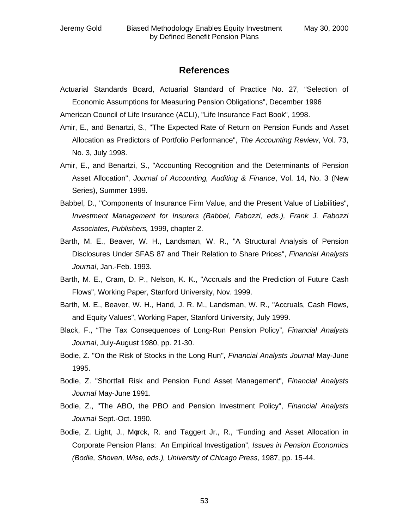### **References**

Actuarial Standards Board, Actuarial Standard of Practice No. 27, "Selection of Economic Assumptions for Measuring Pension Obligations", December 1996

American Council of Life Insurance (ACLI), "Life Insurance Fact Book", 1998.

- Amir, E., and Benartzi, S., "The Expected Rate of Return on Pension Funds and Asset Allocation as Predictors of Portfolio Performance", *The Accounting Review*, Vol. 73, No. 3, July 1998.
- Amir, E., and Benartzi, S., "Accounting Recognition and the Determinants of Pension Asset Allocation", *Journal of Accounting, Auditing & Finance*, Vol. 14, No. 3 (New Series), Summer 1999.
- Babbel, D., "Components of Insurance Firm Value, and the Present Value of Liabilities", *Investment Management for Insurers (Babbel, Fabozzi, eds.), Frank J. Fabozzi Associates, Publishers,* 1999, chapter 2.
- Barth, M. E., Beaver, W. H., Landsman, W. R., "A Structural Analysis of Pension Disclosures Under SFAS 87 and Their Relation to Share Prices", *Financial Analysts Journal*, Jan.-Feb. 1993.
- Barth, M. E., Cram, D. P., Nelson, K. K., "Accruals and the Prediction of Future Cash Flows", Working Paper, Stanford University, Nov. 1999.
- Barth, M. E., Beaver, W. H., Hand, J. R. M., Landsman, W. R., "Accruals, Cash Flows, and Equity Values", Working Paper, Stanford University, July 1999.
- Black, F., "The Tax Consequences of Long-Run Pension Policy", *Financial Analysts Journal*, July-August 1980, pp. 21-30.
- Bodie, Z. "On the Risk of Stocks in the Long Run", *Financial Analysts Journal* May-June 1995.
- Bodie, Z. "Shortfall Risk and Pension Fund Asset Management", *Financial Analysts Journal* May-June 1991.
- Bodie, Z., "The ABO, the PBO and Pension Investment Policy", *Financial Analysts Journal* Sept.-Oct. 1990.
- Bodie, Z. Light, J., Mφrck, R. and Taggert Jr., R., "Funding and Asset Allocation in Corporate Pension Plans: An Empirical Investigation", *Issues in Pension Economics (Bodie, Shoven, Wise, eds.), University of Chicago Press,* 1987, pp. 15-44.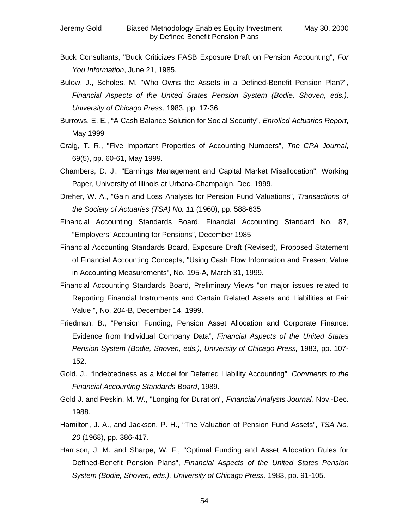- Buck Consultants, "Buck Criticizes FASB Exposure Draft on Pension Accounting", *For You Information*, June 21, 1985.
- Bulow, J., Scholes, M. "Who Owns the Assets in a Defined-Benefit Pension Plan?", *Financial Aspects of the United States Pension System (Bodie, Shoven, eds.), University of Chicago Press,* 1983, pp. 17-36.
- Burrows, E. E., "A Cash Balance Solution for Social Security", *Enrolled Actuaries Report*, May 1999
- Craig, T. R., "Five Important Properties of Accounting Numbers", *The CPA Journal*, 69(5), pp. 60-61, May 1999.
- Chambers, D. J., "Earnings Management and Capital Market Misallocation", Working Paper, University of Illinois at Urbana-Champaign, Dec. 1999.
- Dreher, W. A., "Gain and Loss Analysis for Pension Fund Valuations", *Transactions of the Society of Actuaries (TSA) No. 11* (1960), pp. 588-635
- Financial Accounting Standards Board, Financial Accounting Standard No. 87, "Employers' Accounting for Pensions", December 1985
- Financial Accounting Standards Board, Exposure Draft (Revised), Proposed Statement of Financial Accounting Concepts, "Using Cash Flow Information and Present Value in Accounting Measurements", No. 195-A, March 31, 1999.
- Financial Accounting Standards Board, Preliminary Views "on major issues related to Reporting Financial Instruments and Certain Related Assets and Liabilities at Fair Value ", No. 204-B, December 14, 1999.
- Friedman, B., "Pension Funding, Pension Asset Allocation and Corporate Finance: Evidence from Individual Company Data", *Financial Aspects of the United States Pension System (Bodie, Shoven, eds.), University of Chicago Press,* 1983, pp. 107- 152.
- Gold, J., "Indebtedness as a Model for Deferred Liability Accounting", *Comments to the Financial Accounting Standards Board*, 1989.
- Gold J. and Peskin, M. W., "Longing for Duration", *Financial Analysts Journal,* Nov.-Dec. 1988.
- Hamilton, J. A., and Jackson, P. H., "The Valuation of Pension Fund Assets", *TSA No. 20* (1968), pp. 386-417.
- Harrison, J. M. and Sharpe, W. F., "Optimal Funding and Asset Allocation Rules for Defined-Benefit Pension Plans", *Financial Aspects of the United States Pension System (Bodie, Shoven, eds.), University of Chicago Press,* 1983, pp. 91-105.